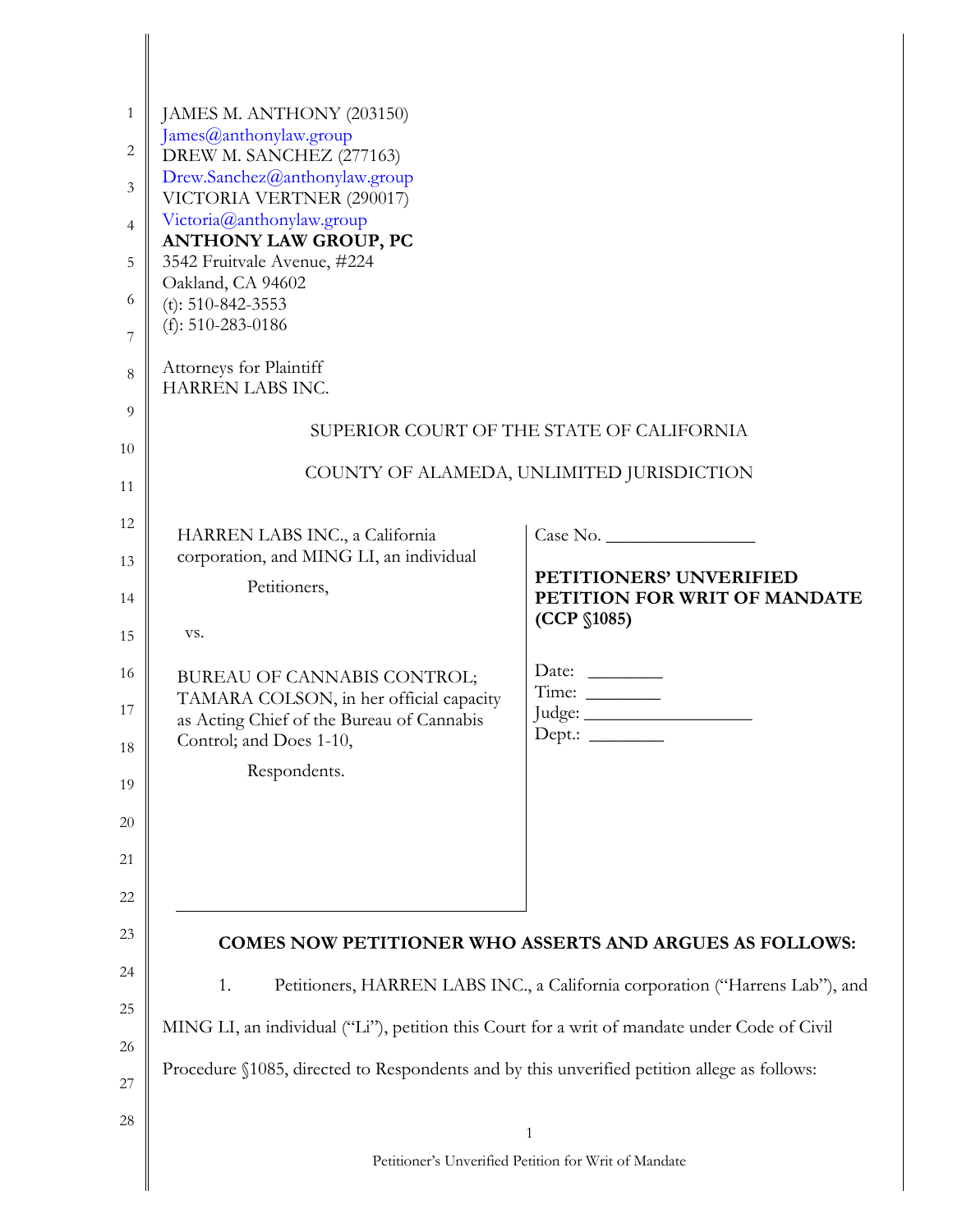| $\mathbf{1}$<br>2<br>3<br>4<br>5<br>6<br>7<br>8<br>9<br>10<br>11<br>12<br>13<br>14<br>15 | JAMES M. ANTHONY (203150)<br>James@anthonylaw.group<br>DREW M. SANCHEZ (277163)<br>Drew.Sanchez@anthonylaw.group<br>VICTORIA VERTNER (290017)<br>Victoria@anthonylaw.group<br><b>ANTHONY LAW GROUP, PC</b><br>3542 Fruitvale Avenue, #224<br>Oakland, CA 94602<br>$(t)$ : 510-842-3553<br>$(f): 510-283-0186$<br>Attorneys for Plaintiff<br>HARREN LABS INC.<br>HARREN LABS INC., a California<br>corporation, and MING LI, an individual<br>Petitioners,<br>VS. | SUPERIOR COURT OF THE STATE OF CALIFORNIA<br>COUNTY OF ALAMEDA, UNLIMITED JURISDICTION<br>Case No.<br>PETITIONERS' UNVERIFIED<br>PETITION FOR WRIT OF MANDATE<br>(CCP \\$1085) |
|------------------------------------------------------------------------------------------|------------------------------------------------------------------------------------------------------------------------------------------------------------------------------------------------------------------------------------------------------------------------------------------------------------------------------------------------------------------------------------------------------------------------------------------------------------------|--------------------------------------------------------------------------------------------------------------------------------------------------------------------------------|
| 17<br>18<br>19<br>20<br>21<br>22<br>23<br>24                                             | BUREAU OF CANNABIS CONTROL;<br>TAMARA COLSON, in her official capacity<br>as Acting Chief of the Bureau of Cannabis<br>Control; and Does 1-10,<br>Respondents.<br>1.                                                                                                                                                                                                                                                                                             | Dept.:<br><b>COMES NOW PETITIONER WHO ASSERTS AND ARGUES AS FOLLOWS:</b><br>Petitioners, HARREN LABS INC., a California corporation ("Harrens Lab"), and                       |
| 25<br>26<br>27<br>28                                                                     | MING LI, an individual ("Li"), petition this Court for a writ of mandate under Code of Civil<br>Procedure §1085, directed to Respondents and by this unverified petition allege as follows:                                                                                                                                                                                                                                                                      | $\mathbf{1}$<br>Petitioner's Unverified Petition for Writ of Mandate                                                                                                           |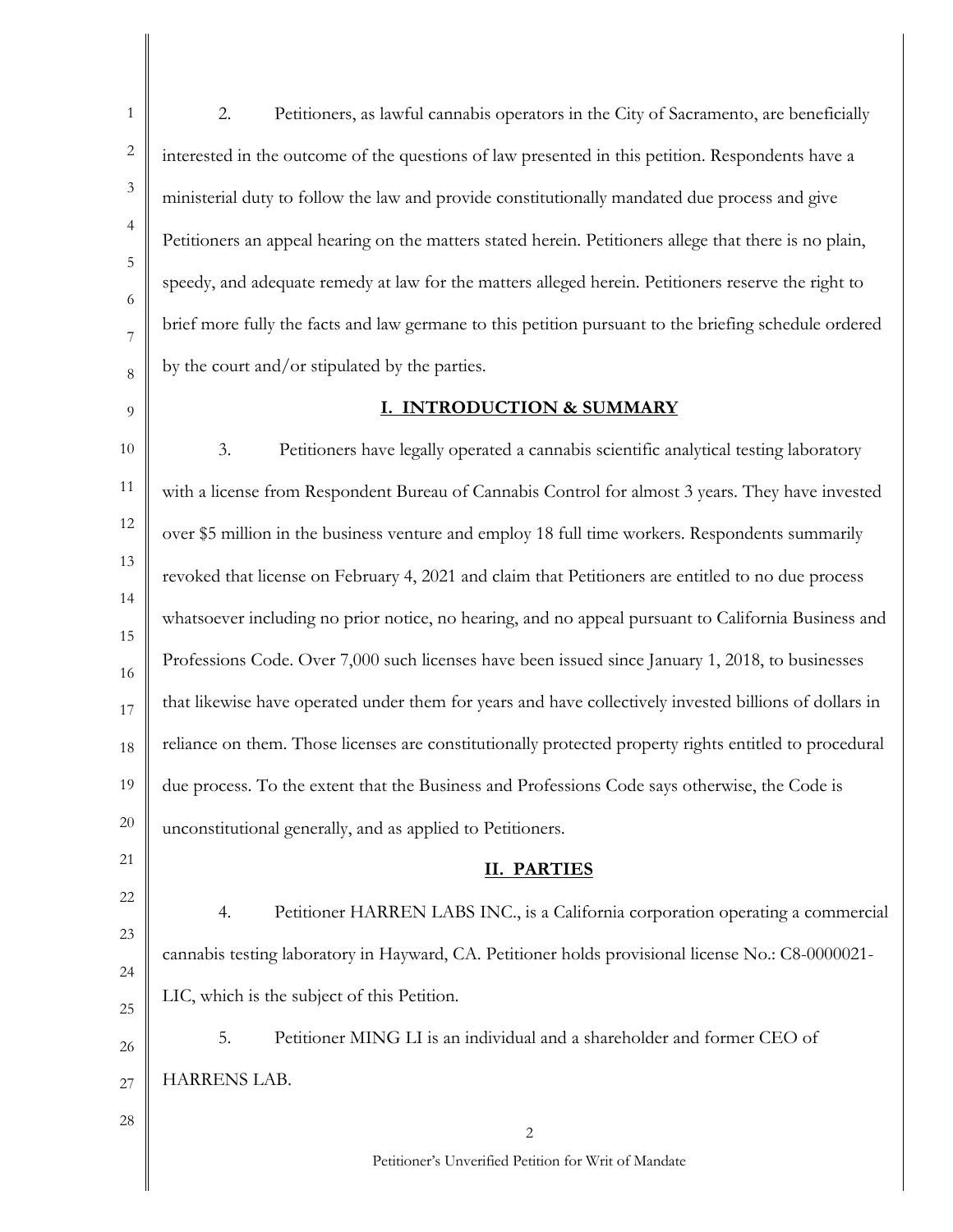2. Petitioners, as lawful cannabis operators in the City of Sacramento, are beneficially interested in the outcome of the questions of law presented in this petition. Respondents have a ministerial duty to follow the law and provide constitutionally mandated due process and give Petitioners an appeal hearing on the matters stated herein. Petitioners allege that there is no plain, speedy, and adequate remedy at law for the matters alleged herein. Petitioners reserve the right to brief more fully the facts and law germane to this petition pursuant to the briefing schedule ordered by the court and/or stipulated by the parties.

#### **I. INTRODUCTION & SUMMARY**

3. Petitioners have legally operated a cannabis scientific analytical testing laboratory with a license from Respondent Bureau of Cannabis Control for almost 3 years. They have invested over \$5 million in the business venture and employ 18 full time workers. Respondents summarily revoked that license on February 4, 2021 and claim that Petitioners are entitled to no due process whatsoever including no prior notice, no hearing, and no appeal pursuant to California Business and Professions Code. Over 7,000 such licenses have been issued since January 1, 2018, to businesses that likewise have operated under them for years and have collectively invested billions of dollars in reliance on them. Those licenses are constitutionally protected property rights entitled to procedural due process. To the extent that the Business and Professions Code says otherwise, the Code is unconstitutional generally, and as applied to Petitioners.

#### **II. PARTIES**

4. Petitioner HARREN LABS INC., is a California corporation operating a commercial cannabis testing laboratory in Hayward, CA. Petitioner holds provisional license No.: C8-0000021- LIC, which is the subject of this Petition.

5. Petitioner MING LI is an individual and a shareholder and former CEO of HARRENS LAB.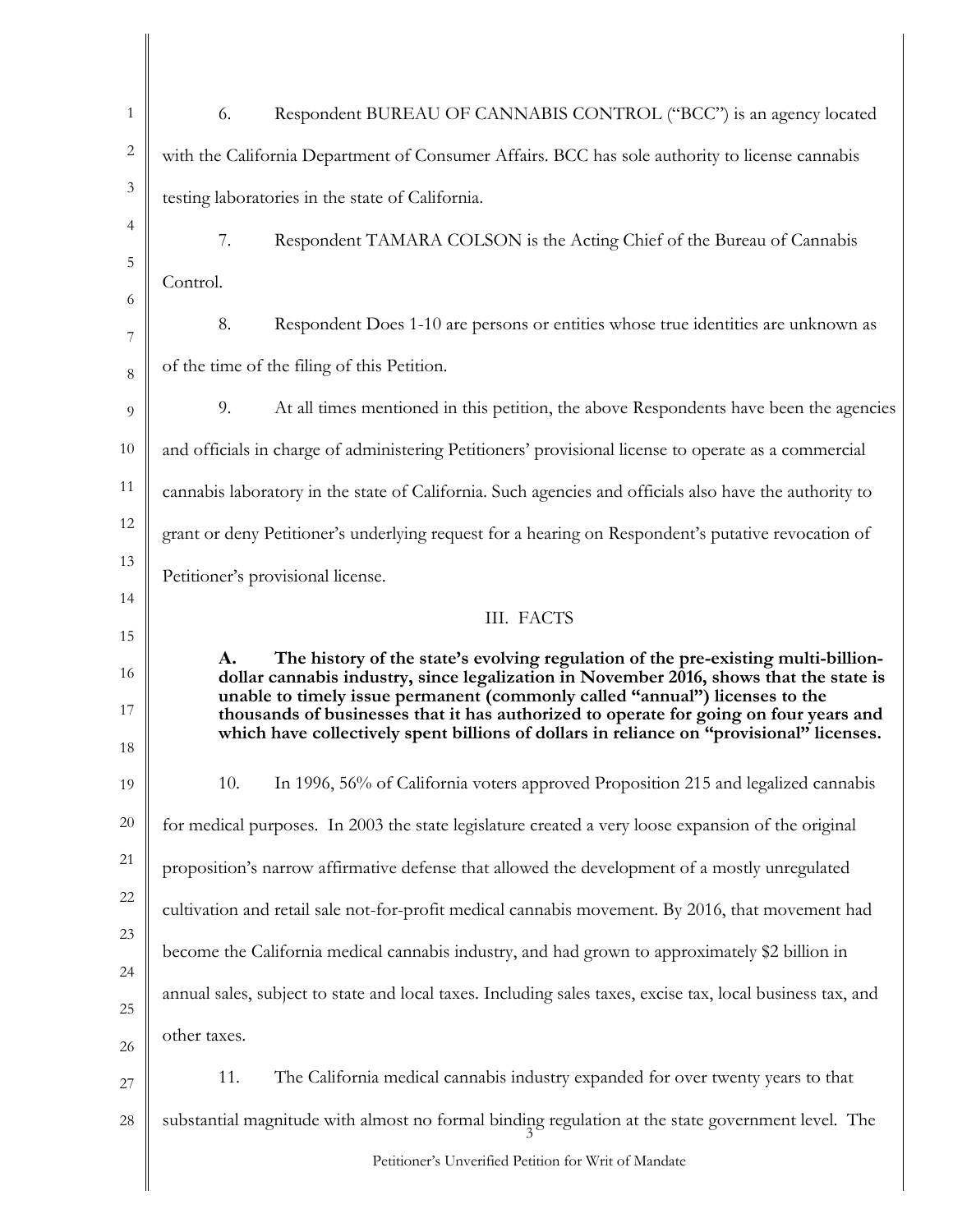| $\mathbf{1}$ | Respondent BUREAU OF CANNABIS CONTROL ("BCC") is an agency located<br>6.                                                                                                          |  |
|--------------|-----------------------------------------------------------------------------------------------------------------------------------------------------------------------------------|--|
| 2            | with the California Department of Consumer Affairs. BCC has sole authority to license cannabis                                                                                    |  |
| 3            | testing laboratories in the state of California.                                                                                                                                  |  |
| 4            | 7.<br>Respondent TAMARA COLSON is the Acting Chief of the Bureau of Cannabis                                                                                                      |  |
| 5            | Control.                                                                                                                                                                          |  |
| 6<br>7       | 8.<br>Respondent Does 1-10 are persons or entities whose true identities are unknown as                                                                                           |  |
| 8            | of the time of the filing of this Petition.                                                                                                                                       |  |
| 9            | 9.<br>At all times mentioned in this petition, the above Respondents have been the agencies                                                                                       |  |
| 10           | and officials in charge of administering Petitioners' provisional license to operate as a commercial                                                                              |  |
| 11           | cannabis laboratory in the state of California. Such agencies and officials also have the authority to                                                                            |  |
| 12           | grant or deny Petitioner's underlying request for a hearing on Respondent's putative revocation of                                                                                |  |
| 13           | Petitioner's provisional license.                                                                                                                                                 |  |
| 14           | III. FACTS                                                                                                                                                                        |  |
| 15           |                                                                                                                                                                                   |  |
|              |                                                                                                                                                                                   |  |
| 16           | The history of the state's evolving regulation of the pre-existing multi-billion-<br>A.<br>dollar cannabis industry, since legalization in November 2016, shows that the state is |  |
| 17           | unable to timely issue permanent (commonly called "annual") licenses to the                                                                                                       |  |
| 18           | thousands of businesses that it has authorized to operate for going on four years and<br>which have collectively spent billions of dollars in reliance on "provisional" licenses. |  |
| 19           | In 1996, 56% of California voters approved Proposition 215 and legalized cannabis<br>10.                                                                                          |  |
| 20           | for medical purposes. In 2003 the state legislature created a very loose expansion of the original                                                                                |  |
| 21           | proposition's narrow affirmative defense that allowed the development of a mostly unregulated                                                                                     |  |
| 22           | cultivation and retail sale not-for-profit medical cannabis movement. By 2016, that movement had                                                                                  |  |
| 23           | become the California medical cannabis industry, and had grown to approximately \$2 billion in                                                                                    |  |
| 24           |                                                                                                                                                                                   |  |
| 25           | annual sales, subject to state and local taxes. Including sales taxes, excise tax, local business tax, and                                                                        |  |
| 26           | other taxes.                                                                                                                                                                      |  |
| 27           | 11.<br>The California medical cannabis industry expanded for over twenty years to that                                                                                            |  |
| 28           | substantial magnitude with almost no formal binding regulation at the state government level. The                                                                                 |  |
|              | Petitioner's Unverified Petition for Writ of Mandate                                                                                                                              |  |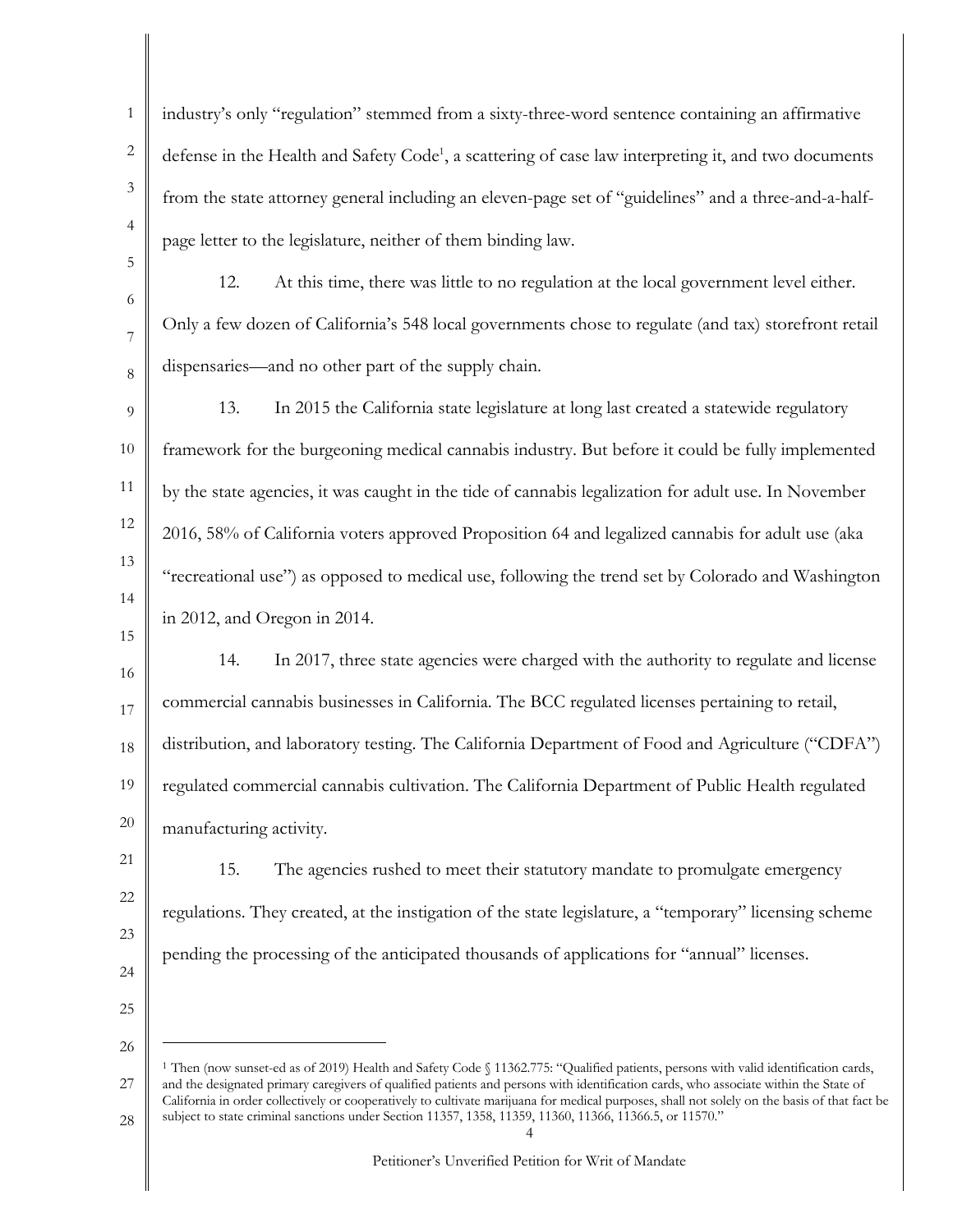1 2 3 4 5 6 7 8 9 10 11 12 13 14 15 16 17 18 19 20 21 22 23 24 25 26 27 industry's only "regulation" stemmed from a sixty-three-word sentence containing an affirmative defense in the Health and Safety Code<sup>1</sup>, a scattering of case law interpreting it, and two documents from the state attorney general including an eleven-page set of "guidelines" and a three-and-a-halfpage letter to the legislature, neither of them binding law. 12. At this time, there was little to no regulation at the local government level either. Only a few dozen of California's 548 local governments chose to regulate (and tax) storefront retail dispensaries—and no other part of the supply chain. 13. In 2015 the California state legislature at long last created a statewide regulatory framework for the burgeoning medical cannabis industry. But before it could be fully implemented by the state agencies, it was caught in the tide of cannabis legalization for adult use. In November 2016, 58% of California voters approved Proposition 64 and legalized cannabis for adult use (aka "recreational use") as opposed to medical use, following the trend set by Colorado and Washington in 2012, and Oregon in 2014. 14. In 2017, three state agencies were charged with the authority to regulate and license commercial cannabis businesses in California. The BCC regulated licenses pertaining to retail, distribution, and laboratory testing. The California Department of Food and Agriculture ("CDFA") regulated commercial cannabis cultivation. The California Department of Public Health regulated manufacturing activity. 15. The agencies rushed to meet their statutory mandate to promulgate emergency regulations. They created, at the instigation of the state legislature, a "temporary" licensing scheme pending the processing of the anticipated thousands of applications for "annual" licenses. <sup>1</sup> Then (now sunset-ed as of 2019) Health and Safety Code § 11362.775: "Qualified patients, persons with valid identification cards, and the designated primary caregivers of qualified patients and persons with identification cards, who associate within the State of

28 California in order collectively or cooperatively to cultivate marijuana for medical purposes, shall not solely on the basis of that fact be subject to state criminal sanctions under Section 11357, 1358, 11359, 11360, 11366, 11366.5, or 11570."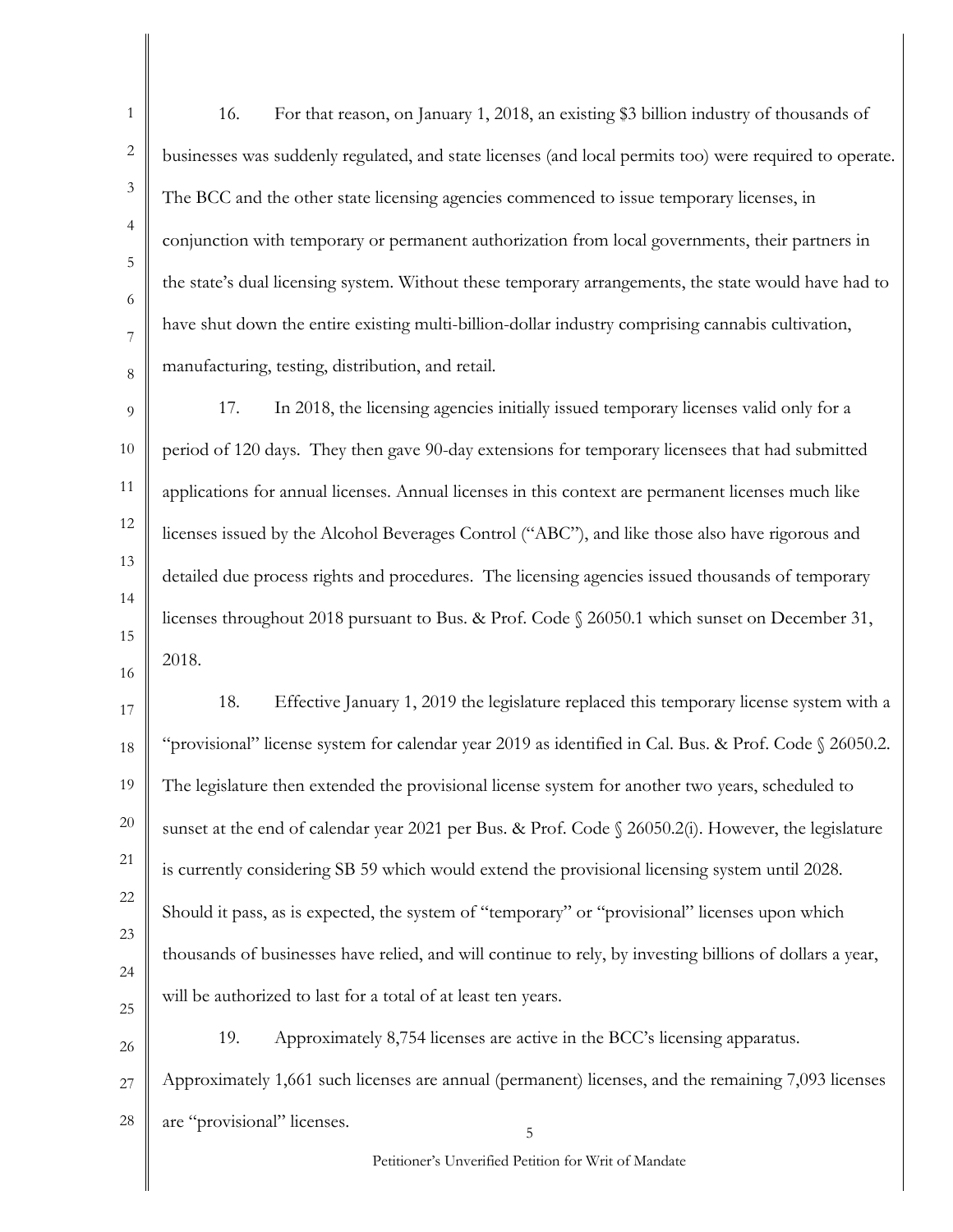1 2 3 4 5 6 7 8 9 10 11 12 13 14 15 16 17 18 19 20 21 22 23 24 25 26 27 28 Petitioner's Unverified Petition for Writ of Mandate 5 16. For that reason, on January 1, 2018, an existing \$3 billion industry of thousands of businesses was suddenly regulated, and state licenses (and local permits too) were required to operate. The BCC and the other state licensing agencies commenced to issue temporary licenses, in conjunction with temporary or permanent authorization from local governments, their partners in the state's dual licensing system. Without these temporary arrangements, the state would have had to have shut down the entire existing multi-billion-dollar industry comprising cannabis cultivation, manufacturing, testing, distribution, and retail. 17. In 2018, the licensing agencies initially issued temporary licenses valid only for a period of 120 days. They then gave 90-day extensions for temporary licensees that had submitted applications for annual licenses. Annual licenses in this context are permanent licenses much like licenses issued by the Alcohol Beverages Control ("ABC"), and like those also have rigorous and detailed due process rights and procedures. The licensing agencies issued thousands of temporary licenses throughout 2018 pursuant to Bus. & Prof. Code § 26050.1 which sunset on December 31, 2018. 18. Effective January 1, 2019 the legislature replaced this temporary license system with a "provisional" license system for calendar year 2019 as identified in Cal. Bus. & Prof. Code § 26050.2. The legislature then extended the provisional license system for another two years, scheduled to sunset at the end of calendar year 2021 per Bus. & Prof. Code § 26050.2(i). However, the legislature is currently considering SB 59 which would extend the provisional licensing system until 2028. Should it pass, as is expected, the system of "temporary" or "provisional" licenses upon which thousands of businesses have relied, and will continue to rely, by investing billions of dollars a year, will be authorized to last for a total of at least ten years. 19. Approximately 8,754 licenses are active in the BCC's licensing apparatus. Approximately 1,661 such licenses are annual (permanent) licenses, and the remaining 7,093 licenses are "provisional" licenses.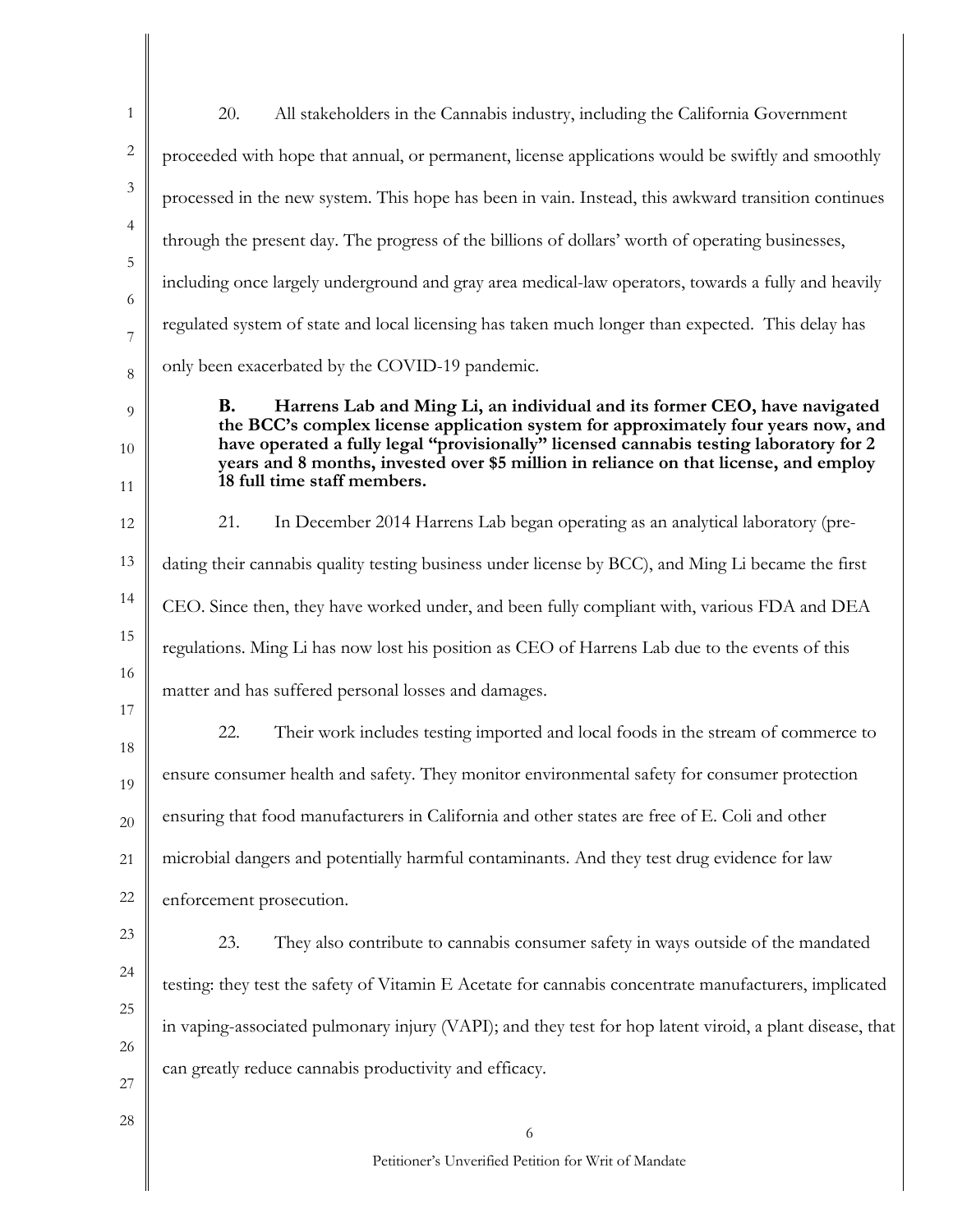| $\mathbf{1}$               | All stakeholders in the Cannabis industry, including the California Government<br>20.                                                                                                                                                                                                                                                                                                   |
|----------------------------|-----------------------------------------------------------------------------------------------------------------------------------------------------------------------------------------------------------------------------------------------------------------------------------------------------------------------------------------------------------------------------------------|
| $\sqrt{2}$                 | proceeded with hope that annual, or permanent, license applications would be swiftly and smoothly                                                                                                                                                                                                                                                                                       |
| 3                          | processed in the new system. This hope has been in vain. Instead, this awkward transition continues                                                                                                                                                                                                                                                                                     |
| $\overline{4}$             | through the present day. The progress of the billions of dollars' worth of operating businesses,                                                                                                                                                                                                                                                                                        |
| 5<br>6                     | including once largely underground and gray area medical-law operators, towards a fully and heavily                                                                                                                                                                                                                                                                                     |
| $\overline{\phantom{a}}$   | regulated system of state and local licensing has taken much longer than expected. This delay has                                                                                                                                                                                                                                                                                       |
| $\,8\,$                    | only been exacerbated by the COVID-19 pandemic.                                                                                                                                                                                                                                                                                                                                         |
| $\overline{9}$<br>10<br>11 | Harrens Lab and Ming Li, an individual and its former CEO, have navigated<br>В.<br>the BCC's complex license application system for approximately four years now, and<br>have operated a fully legal "provisionally" licensed cannabis testing laboratory for 2<br>years and 8 months, invested over \$5 million in reliance on that license, and employ<br>18 full time staff members. |
| 12                         | 21.<br>In December 2014 Harrens Lab began operating as an analytical laboratory (pre-                                                                                                                                                                                                                                                                                                   |
| 13                         | dating their cannabis quality testing business under license by BCC), and Ming Li became the first                                                                                                                                                                                                                                                                                      |
| 14                         | CEO. Since then, they have worked under, and been fully compliant with, various FDA and DEA                                                                                                                                                                                                                                                                                             |
| 15<br>16                   | regulations. Ming Li has now lost his position as CEO of Harrens Lab due to the events of this                                                                                                                                                                                                                                                                                          |
| 17                         | matter and has suffered personal losses and damages.                                                                                                                                                                                                                                                                                                                                    |
| 18                         | 22.<br>Their work includes testing imported and local foods in the stream of commerce to                                                                                                                                                                                                                                                                                                |
| 19                         | ensure consumer health and safety. They monitor environmental safety for consumer protection                                                                                                                                                                                                                                                                                            |
| 20                         | ensuring that food manufacturers in California and other states are free of E. Coli and other                                                                                                                                                                                                                                                                                           |
| 21                         | microbial dangers and potentially harmful contaminants. And they test drug evidence for law                                                                                                                                                                                                                                                                                             |
| 22                         | enforcement prosecution.                                                                                                                                                                                                                                                                                                                                                                |
| 23                         | They also contribute to cannabis consumer safety in ways outside of the mandated<br>23.                                                                                                                                                                                                                                                                                                 |
| 24<br>25                   | testing: they test the safety of Vitamin E Acetate for cannabis concentrate manufacturers, implicated                                                                                                                                                                                                                                                                                   |
| 26                         | in vaping-associated pulmonary injury (VAPI); and they test for hop latent viroid, a plant disease, that                                                                                                                                                                                                                                                                                |
| 27                         | can greatly reduce cannabis productivity and efficacy.                                                                                                                                                                                                                                                                                                                                  |
| 28                         | 6                                                                                                                                                                                                                                                                                                                                                                                       |
|                            | Petitioner's Unverified Petition for Writ of Mandate                                                                                                                                                                                                                                                                                                                                    |
|                            |                                                                                                                                                                                                                                                                                                                                                                                         |

 $\overline{\phantom{a}}$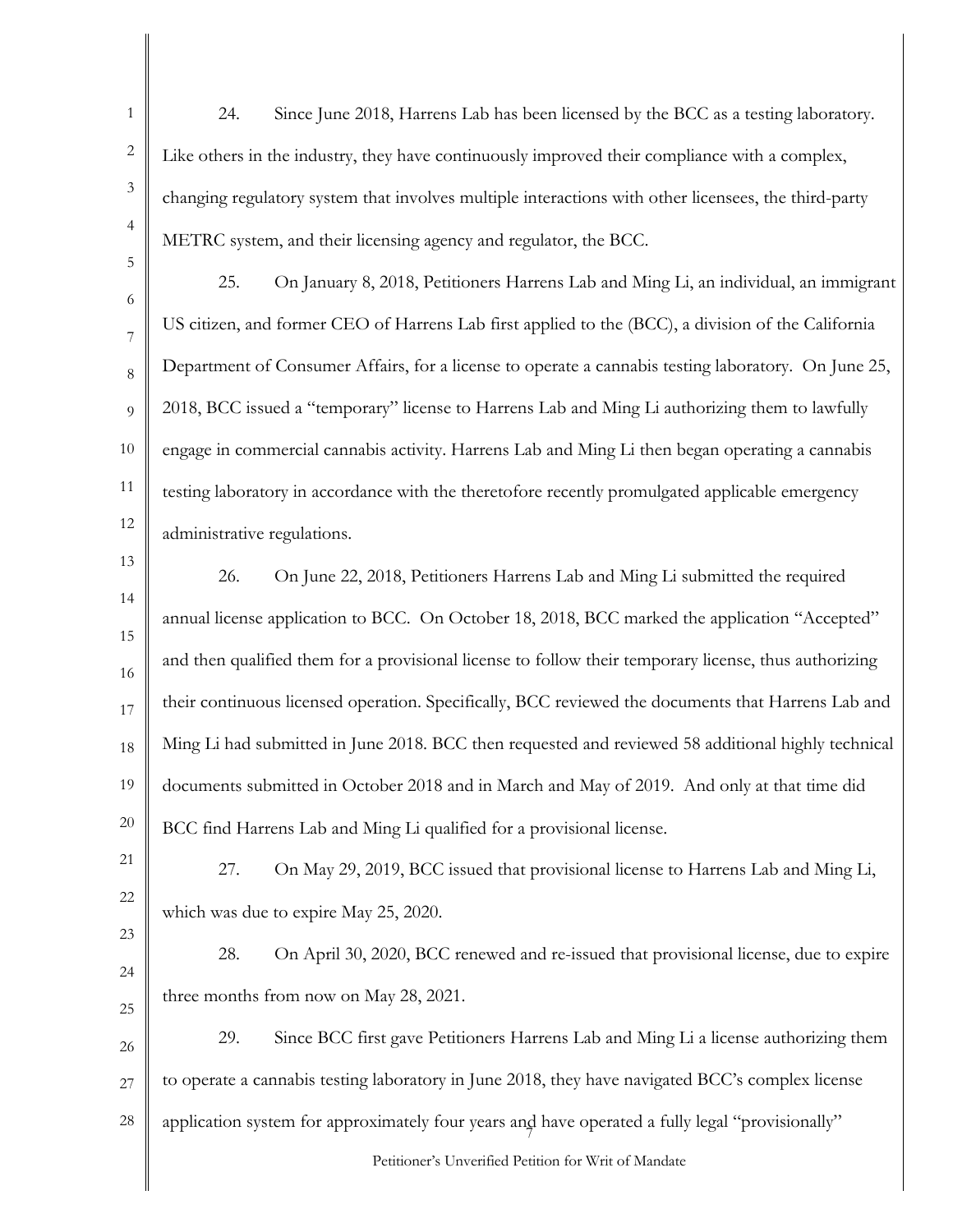1 2 3 4 5 6 7 8 9 10 11 12 13 14 15 16 17 18 19 20 21 22 23 24 25 26 27 28 Petitioner's Unverified Petition for Writ of Mandate application system for approximately four years and have operated a fully legal "provisionally" 24. Since June 2018, Harrens Lab has been licensed by the BCC as a testing laboratory. Like others in the industry, they have continuously improved their compliance with a complex, changing regulatory system that involves multiple interactions with other licensees, the third-party METRC system, and their licensing agency and regulator, the BCC. 25. On January 8, 2018, Petitioners Harrens Lab and Ming Li, an individual, an immigrant US citizen, and former CEO of Harrens Lab first applied to the (BCC), a division of the California Department of Consumer Affairs, for a license to operate a cannabis testing laboratory. On June 25, 2018, BCC issued a "temporary" license to Harrens Lab and Ming Li authorizing them to lawfully engage in commercial cannabis activity. Harrens Lab and Ming Li then began operating a cannabis testing laboratory in accordance with the theretofore recently promulgated applicable emergency administrative regulations. 26. On June 22, 2018, Petitioners Harrens Lab and Ming Li submitted the required annual license application to BCC. On October 18, 2018, BCC marked the application "Accepted" and then qualified them for a provisional license to follow their temporary license, thus authorizing their continuous licensed operation. Specifically, BCC reviewed the documents that Harrens Lab and Ming Li had submitted in June 2018. BCC then requested and reviewed 58 additional highly technical documents submitted in October 2018 and in March and May of 2019. And only at that time did BCC find Harrens Lab and Ming Li qualified for a provisional license. 27. On May 29, 2019, BCC issued that provisional license to Harrens Lab and Ming Li, which was due to expire May 25, 2020. 28. On April 30, 2020, BCC renewed and re-issued that provisional license, due to expire three months from now on May 28, 2021. 29. Since BCC first gave Petitioners Harrens Lab and Ming Li a license authorizing them to operate a cannabis testing laboratory in June 2018, they have navigated BCC's complex license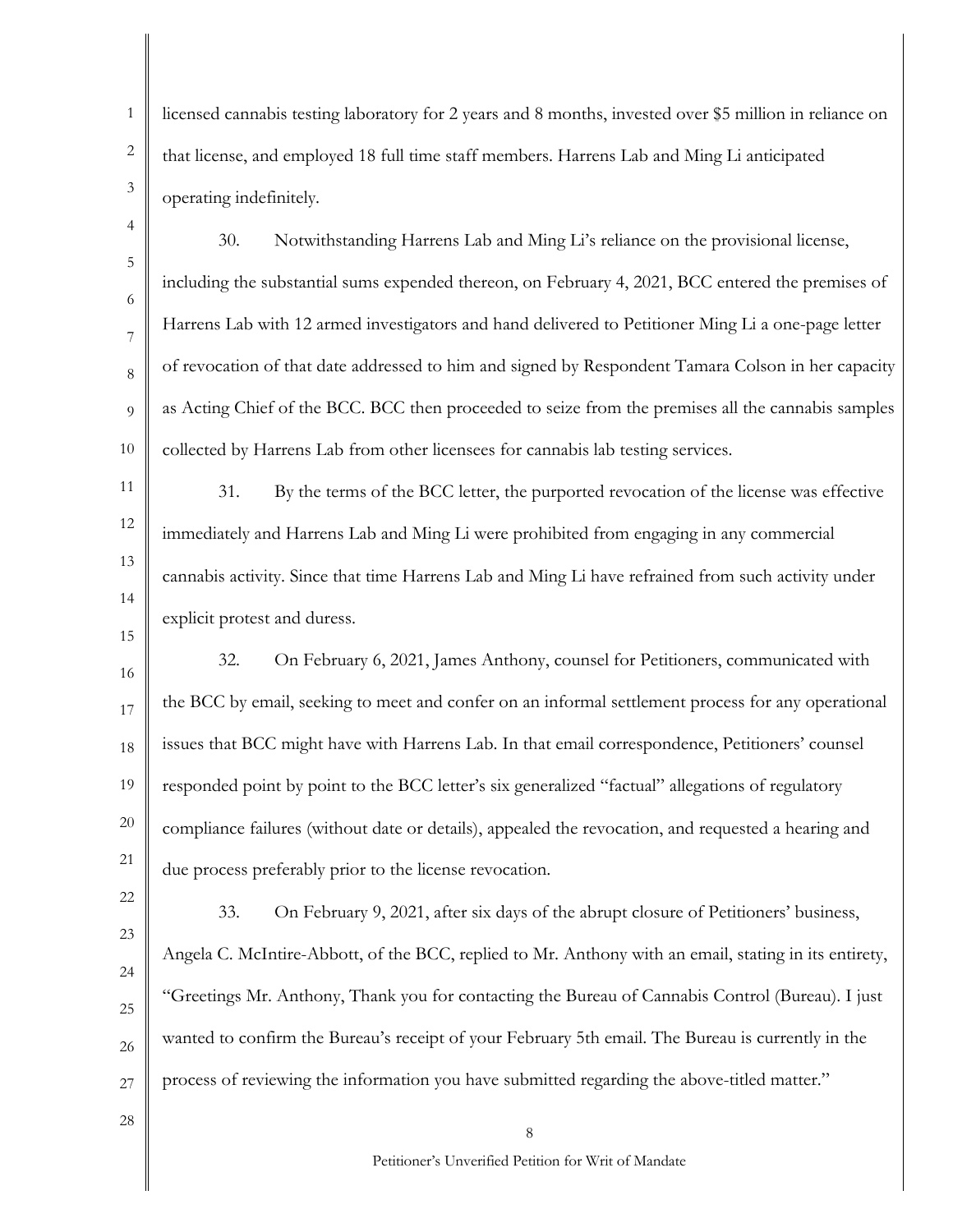1 2 3 4 5 6 7 8 9 10 11 12 13 14 15 16 17 18 19 20 21 22 23 24 licensed cannabis testing laboratory for 2 years and 8 months, invested over \$5 million in reliance on that license, and employed 18 full time staff members. Harrens Lab and Ming Li anticipated operating indefinitely. 30. Notwithstanding Harrens Lab and Ming Li's reliance on the provisional license, including the substantial sums expended thereon, on February 4, 2021, BCC entered the premises of Harrens Lab with 12 armed investigators and hand delivered to Petitioner Ming Li a one-page letter of revocation of that date addressed to him and signed by Respondent Tamara Colson in her capacity as Acting Chief of the BCC. BCC then proceeded to seize from the premises all the cannabis samples collected by Harrens Lab from other licensees for cannabis lab testing services. 31. By the terms of the BCC letter, the purported revocation of the license was effective immediately and Harrens Lab and Ming Li were prohibited from engaging in any commercial cannabis activity. Since that time Harrens Lab and Ming Li have refrained from such activity under explicit protest and duress. 32. On February 6, 2021, James Anthony, counsel for Petitioners, communicated with the BCC by email, seeking to meet and confer on an informal settlement process for any operational issues that BCC might have with Harrens Lab. In that email correspondence, Petitioners' counsel responded point by point to the BCC letter's six generalized "factual" allegations of regulatory compliance failures (without date or details), appealed the revocation, and requested a hearing and due process preferably prior to the license revocation. 33. On February 9, 2021, after six days of the abrupt closure of Petitioners' business, Angela C. McIntire-Abbott, of the BCC, replied to Mr. Anthony with an email, stating in its entirety,

25 26 "Greetings Mr. Anthony, Thank you for contacting the Bureau of Cannabis Control (Bureau). I just wanted to confirm the Bureau's receipt of your February 5th email. The Bureau is currently in the process of reviewing the information you have submitted regarding the above-titled matter."

28

27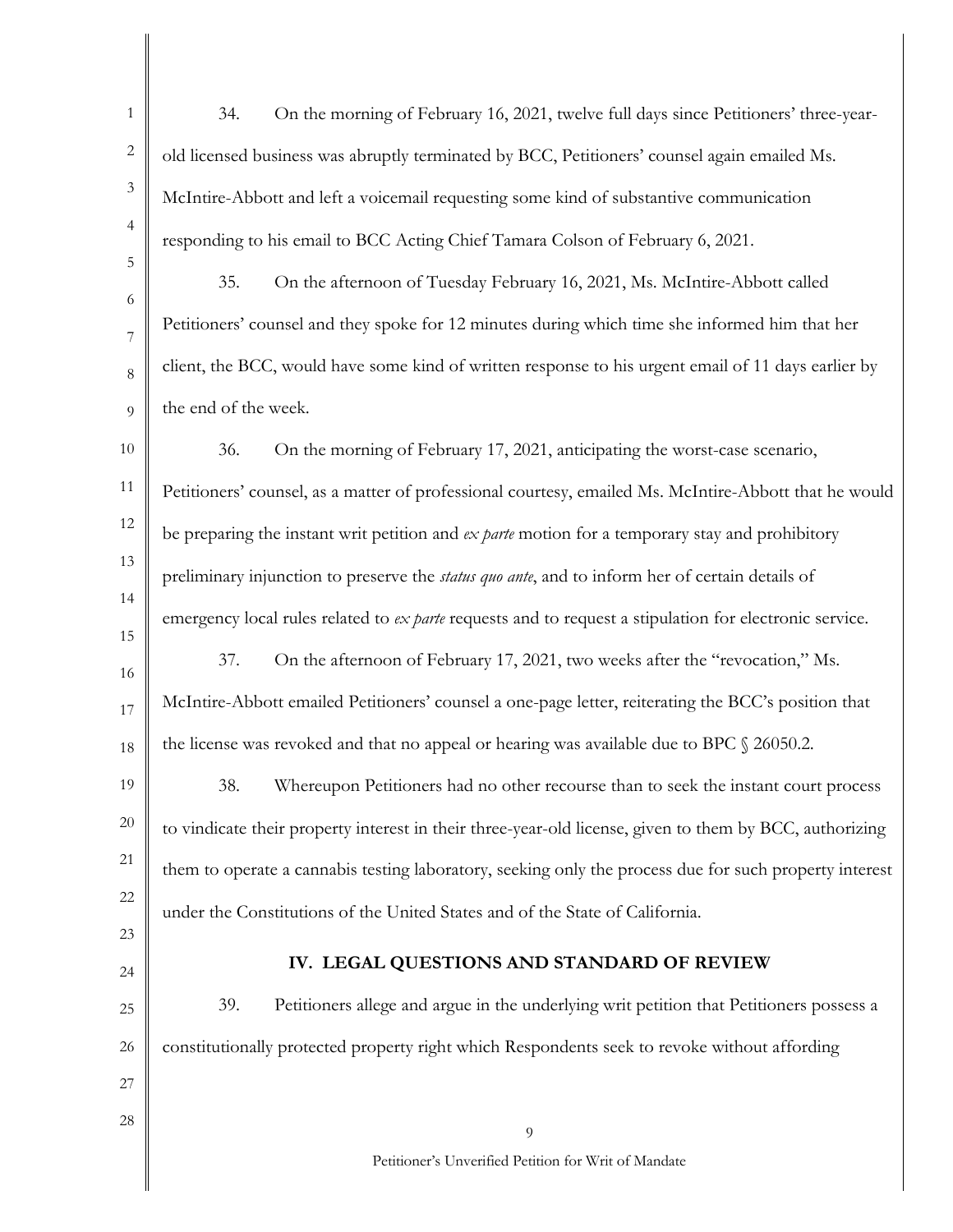| $\mathbf{1}$   | On the morning of February 16, 2021, twelve full days since Petitioners' three-year-<br>34.             |  |
|----------------|---------------------------------------------------------------------------------------------------------|--|
| $\overline{2}$ | old licensed business was abruptly terminated by BCC, Petitioners' counsel again emailed Ms.            |  |
| $\mathfrak{Z}$ | McIntire-Abbott and left a voicemail requesting some kind of substantive communication                  |  |
| $\overline{4}$ | responding to his email to BCC Acting Chief Tamara Colson of February 6, 2021.                          |  |
| 5<br>6         | On the afternoon of Tuesday February 16, 2021, Ms. McIntire-Abbott called<br>35.                        |  |
| 7              | Petitioners' counsel and they spoke for 12 minutes during which time she informed him that her          |  |
| $8\,$          | client, the BCC, would have some kind of written response to his urgent email of 11 days earlier by     |  |
| 9              | the end of the week.                                                                                    |  |
| $10\,$         | 36.<br>On the morning of February 17, 2021, anticipating the worst-case scenario,                       |  |
| 11             | Petitioners' counsel, as a matter of professional courtesy, emailed Ms. McIntire-Abbott that he would   |  |
| 12             | be preparing the instant writ petition and ex parte motion for a temporary stay and prohibitory         |  |
| 13             | preliminary injunction to preserve the <i>status quo ante</i> , and to inform her of certain details of |  |
| 14<br>15       | emergency local rules related to ex parte requests and to request a stipulation for electronic service. |  |
| 16             | 37.<br>On the afternoon of February 17, 2021, two weeks after the "revocation," Ms.                     |  |
| $17\,$         | McIntire-Abbott emailed Petitioners' counsel a one-page letter, reiterating the BCC's position that     |  |
| $18\,$         | the license was revoked and that no appeal or hearing was available due to BPC § 26050.2.               |  |
| 19             | 38.<br>Whereupon Petitioners had no other recourse than to seek the instant court process               |  |
| 20             | to vindicate their property interest in their three-year-old license, given to them by BCC, authorizing |  |
| 21             | them to operate a cannabis testing laboratory, seeking only the process due for such property interest  |  |
| 22<br>23       | under the Constitutions of the United States and of the State of California.                            |  |
| 24             | IV. LEGAL QUESTIONS AND STANDARD OF REVIEW                                                              |  |
| 25             | 39.<br>Petitioners allege and argue in the underlying writ petition that Petitioners possess a          |  |
| 26             | constitutionally protected property right which Respondents seek to revoke without affording            |  |
| 27             |                                                                                                         |  |
| 28             | $\overline{9}$                                                                                          |  |
|                | Petitioner's Unverified Petition for Writ of Mandate                                                    |  |
|                |                                                                                                         |  |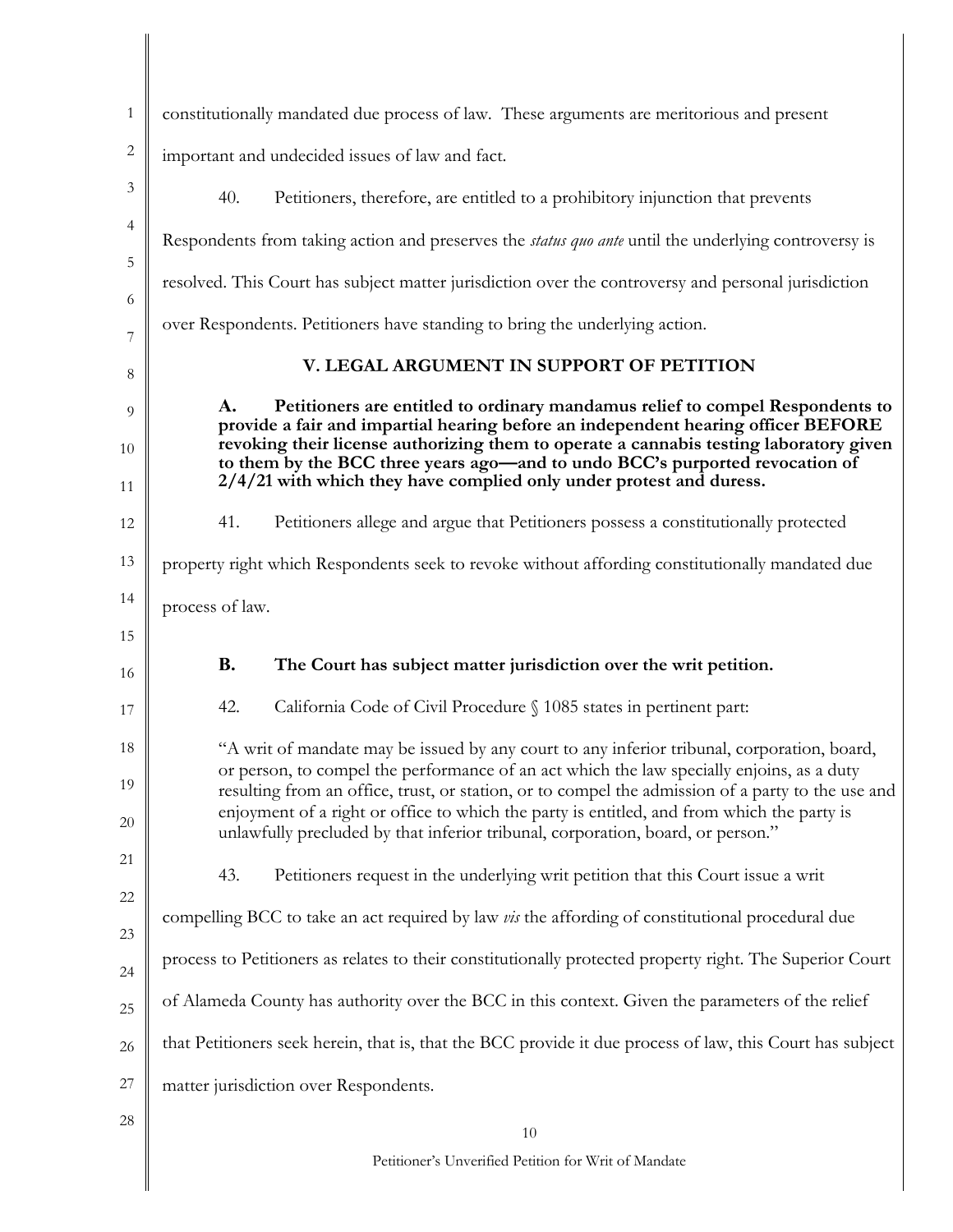| 1        | constitutionally mandated due process of law. These arguments are meritorious and present                                                                                                                                                                                                                                          |  |
|----------|------------------------------------------------------------------------------------------------------------------------------------------------------------------------------------------------------------------------------------------------------------------------------------------------------------------------------------|--|
| 2        | important and undecided issues of law and fact.                                                                                                                                                                                                                                                                                    |  |
| 3        | 40.<br>Petitioners, therefore, are entitled to a prohibitory injunction that prevents                                                                                                                                                                                                                                              |  |
| 4        | Respondents from taking action and preserves the <i>status quo ante</i> until the underlying controversy is                                                                                                                                                                                                                        |  |
| 5        | resolved. This Court has subject matter jurisdiction over the controversy and personal jurisdiction                                                                                                                                                                                                                                |  |
| 6<br>7   | over Respondents. Petitioners have standing to bring the underlying action.                                                                                                                                                                                                                                                        |  |
| 8        | V. LEGAL ARGUMENT IN SUPPORT OF PETITION                                                                                                                                                                                                                                                                                           |  |
| 9        | Petitioners are entitled to ordinary mandamus relief to compel Respondents to<br>A.                                                                                                                                                                                                                                                |  |
| 10       | provide a fair and impartial hearing before an independent hearing officer BEFORE<br>revoking their license authorizing them to operate a cannabis testing laboratory given<br>to them by the BCC three years ago-and to undo BCC's purported revocation of<br>2/4/21 with which they have complied only under protest and duress. |  |
| 11       |                                                                                                                                                                                                                                                                                                                                    |  |
| 12       | Petitioners allege and argue that Petitioners possess a constitutionally protected<br>41.                                                                                                                                                                                                                                          |  |
| 13       | property right which Respondents seek to revoke without affording constitutionally mandated due                                                                                                                                                                                                                                    |  |
| 14       | process of law.                                                                                                                                                                                                                                                                                                                    |  |
| 15       |                                                                                                                                                                                                                                                                                                                                    |  |
|          |                                                                                                                                                                                                                                                                                                                                    |  |
| 16       | <b>B.</b><br>The Court has subject matter jurisdiction over the writ petition.                                                                                                                                                                                                                                                     |  |
| 17       | California Code of Civil Procedure § 1085 states in pertinent part:<br>42.                                                                                                                                                                                                                                                         |  |
| 18       | "A writ of mandate may be issued by any court to any inferior tribunal, corporation, board,                                                                                                                                                                                                                                        |  |
| 19       | or person, to compel the performance of an act which the law specially enjoins, as a duty<br>resulting from an office, trust, or station, or to compel the admission of a party to the use and                                                                                                                                     |  |
| 20       | enjoyment of a right or office to which the party is entitled, and from which the party is<br>unlawfully precluded by that inferior tribunal, corporation, board, or person."                                                                                                                                                      |  |
| 21       | Petitioners request in the underlying writ petition that this Court issue a writ<br>43.                                                                                                                                                                                                                                            |  |
| 22       | compelling BCC to take an act required by law vis the affording of constitutional procedural due                                                                                                                                                                                                                                   |  |
| 23       | process to Petitioners as relates to their constitutionally protected property right. The Superior Court                                                                                                                                                                                                                           |  |
| 24<br>25 | of Alameda County has authority over the BCC in this context. Given the parameters of the relief                                                                                                                                                                                                                                   |  |
| 26       | that Petitioners seek herein, that is, that the BCC provide it due process of law, this Court has subject                                                                                                                                                                                                                          |  |
| 27       | matter jurisdiction over Respondents.                                                                                                                                                                                                                                                                                              |  |
| 28       |                                                                                                                                                                                                                                                                                                                                    |  |
|          | 10<br>Petitioner's Unverified Petition for Writ of Mandate                                                                                                                                                                                                                                                                         |  |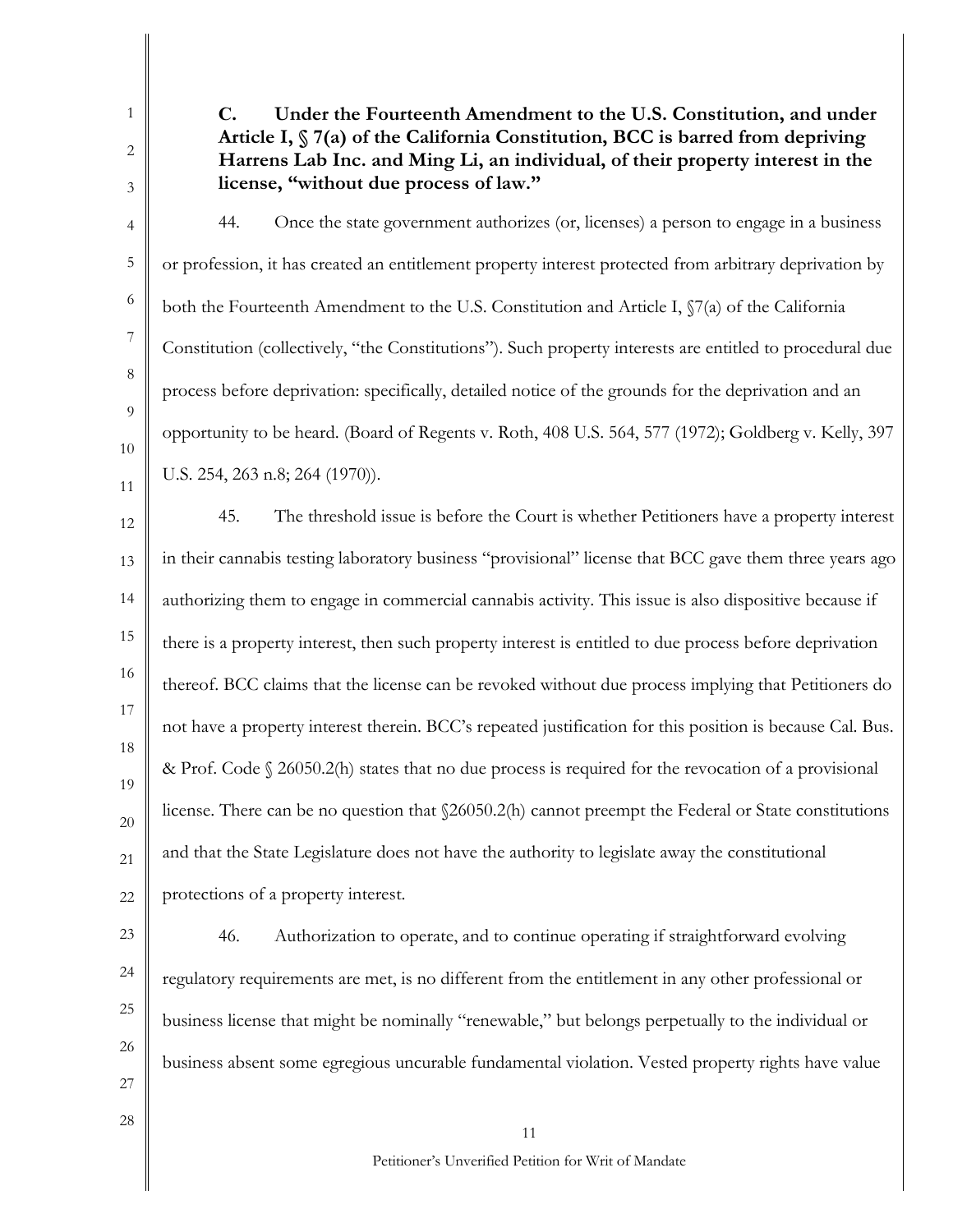1 2 3 4 5 6 7 8 9 10 11 12 13 14 15 16 17 18 19 20 21 22 23 24 25 26 27 28 Petitioner's Unverified Petition for Writ of Mandate 11 **C. Under the Fourteenth Amendment to the U.S. Constitution, and under Article I, § 7(a) of the California Constitution, BCC is barred from depriving Harrens Lab Inc. and Ming Li, an individual, of their property interest in the license, "without due process of law."** 44. Once the state government authorizes (or, licenses) a person to engage in a business or profession, it has created an entitlement property interest protected from arbitrary deprivation by both the Fourteenth Amendment to the U.S. Constitution and Article I, §7(a) of the California Constitution (collectively, "the Constitutions"). Such property interests are entitled to procedural due process before deprivation: specifically, detailed notice of the grounds for the deprivation and an opportunity to be heard. (Board of Regents v. Roth, 408 U.S. 564, 577 (1972); Goldberg v. Kelly, 397 U.S. 254, 263 n.8; 264 (1970)). 45. The threshold issue is before the Court is whether Petitioners have a property interest in their cannabis testing laboratory business "provisional" license that BCC gave them three years ago authorizing them to engage in commercial cannabis activity. This issue is also dispositive because if there is a property interest, then such property interest is entitled to due process before deprivation thereof. BCC claims that the license can be revoked without due process implying that Petitioners do not have a property interest therein. BCC's repeated justification for this position is because Cal. Bus. & Prof. Code § 26050.2(h) states that no due process is required for the revocation of a provisional license. There can be no question that §26050.2(h) cannot preempt the Federal or State constitutions and that the State Legislature does not have the authority to legislate away the constitutional protections of a property interest. 46. Authorization to operate, and to continue operating if straightforward evolving regulatory requirements are met, is no different from the entitlement in any other professional or business license that might be nominally "renewable," but belongs perpetually to the individual or business absent some egregious uncurable fundamental violation. Vested property rights have value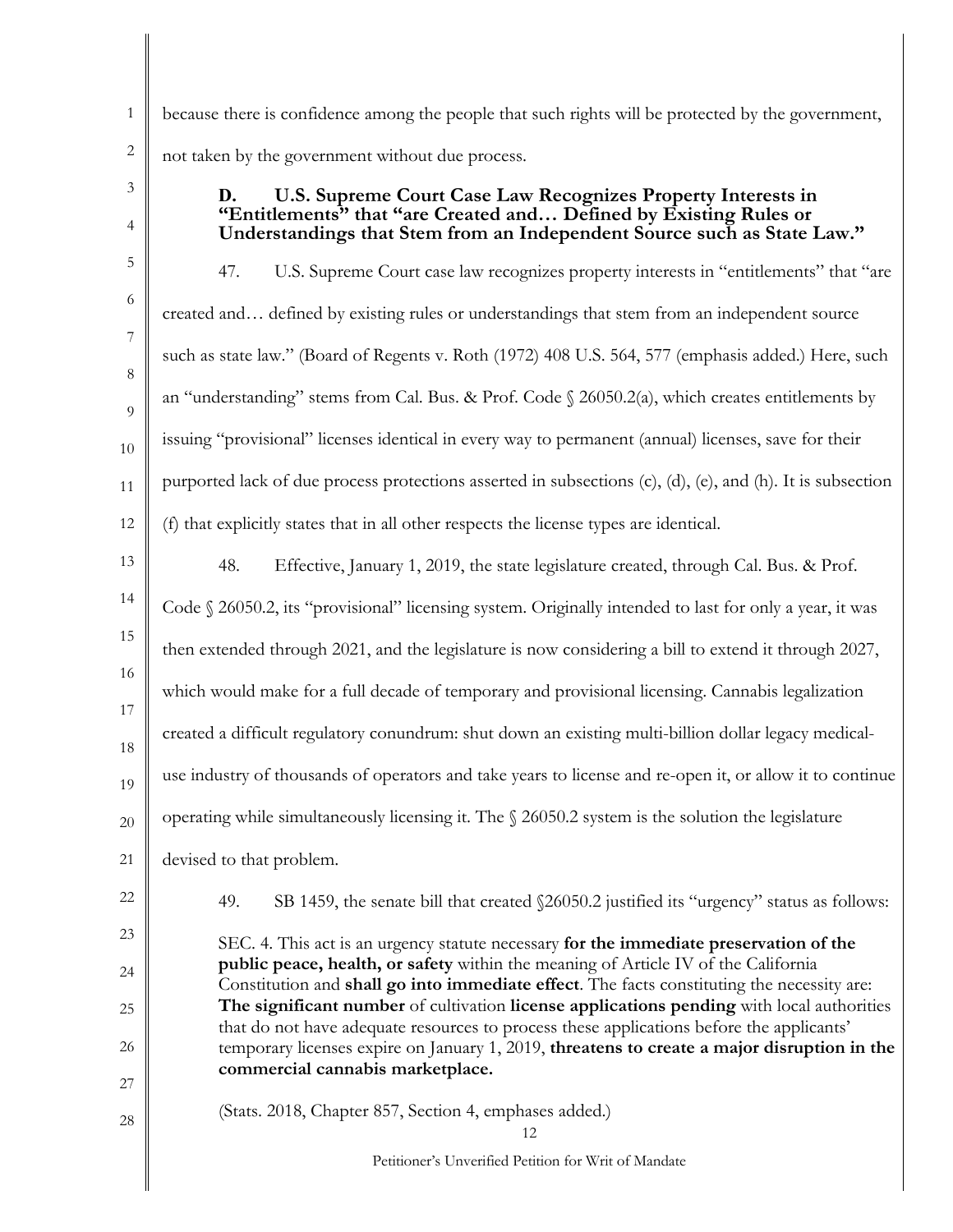2 because there is confidence among the people that such rights will be protected by the government, not taken by the government without due process.

1

3

4

# **D. U.S. Supreme Court Case Law Recognizes Property Interests in "Entitlements" that "are Created and… Defined by Existing Rules or Understandings that Stem from an Independent Source such as State Law."**

5 6 7 8 9 10 11 12 13 14 15 16 17 18 19 20 21 22 23 24 25 26 27 28 Petitioner's Unverified Petition for Writ of Mandate 12 47. U.S. Supreme Court case law recognizes property interests in "entitlements" that "are created and… defined by existing rules or understandings that stem from an independent source such as state law." (Board of Regents v. Roth (1972) 408 U.S. 564, 577 (emphasis added.) Here, such an "understanding" stems from Cal. Bus. & Prof. Code  $\frac{6}{26050.2(a)}$ , which creates entitlements by issuing "provisional" licenses identical in every way to permanent (annual) licenses, save for their purported lack of due process protections asserted in subsections (c), (d), (e), and (h). It is subsection (f) that explicitly states that in all other respects the license types are identical. 48. Effective, January 1, 2019, the state legislature created, through Cal. Bus. & Prof. Code § 26050.2, its "provisional" licensing system. Originally intended to last for only a year, it was then extended through 2021, and the legislature is now considering a bill to extend it through 2027, which would make for a full decade of temporary and provisional licensing. Cannabis legalization created a difficult regulatory conundrum: shut down an existing multi-billion dollar legacy medicaluse industry of thousands of operators and take years to license and re-open it, or allow it to continue operating while simultaneously licensing it. The § 26050.2 system is the solution the legislature devised to that problem. 49. SB 1459, the senate bill that created §26050.2 justified its "urgency" status as follows: SEC. 4. This act is an urgency statute necessary **for the immediate preservation of the public peace, health, or safety** within the meaning of Article IV of the California Constitution and **shall go into immediate effect**. The facts constituting the necessity are: **The significant number** of cultivation **license applications pending** with local authorities that do not have adequate resources to process these applications before the applicants' temporary licenses expire on January 1, 2019, **threatens to create a major disruption in the commercial cannabis marketplace.** (Stats. 2018, Chapter 857, Section 4, emphases added.)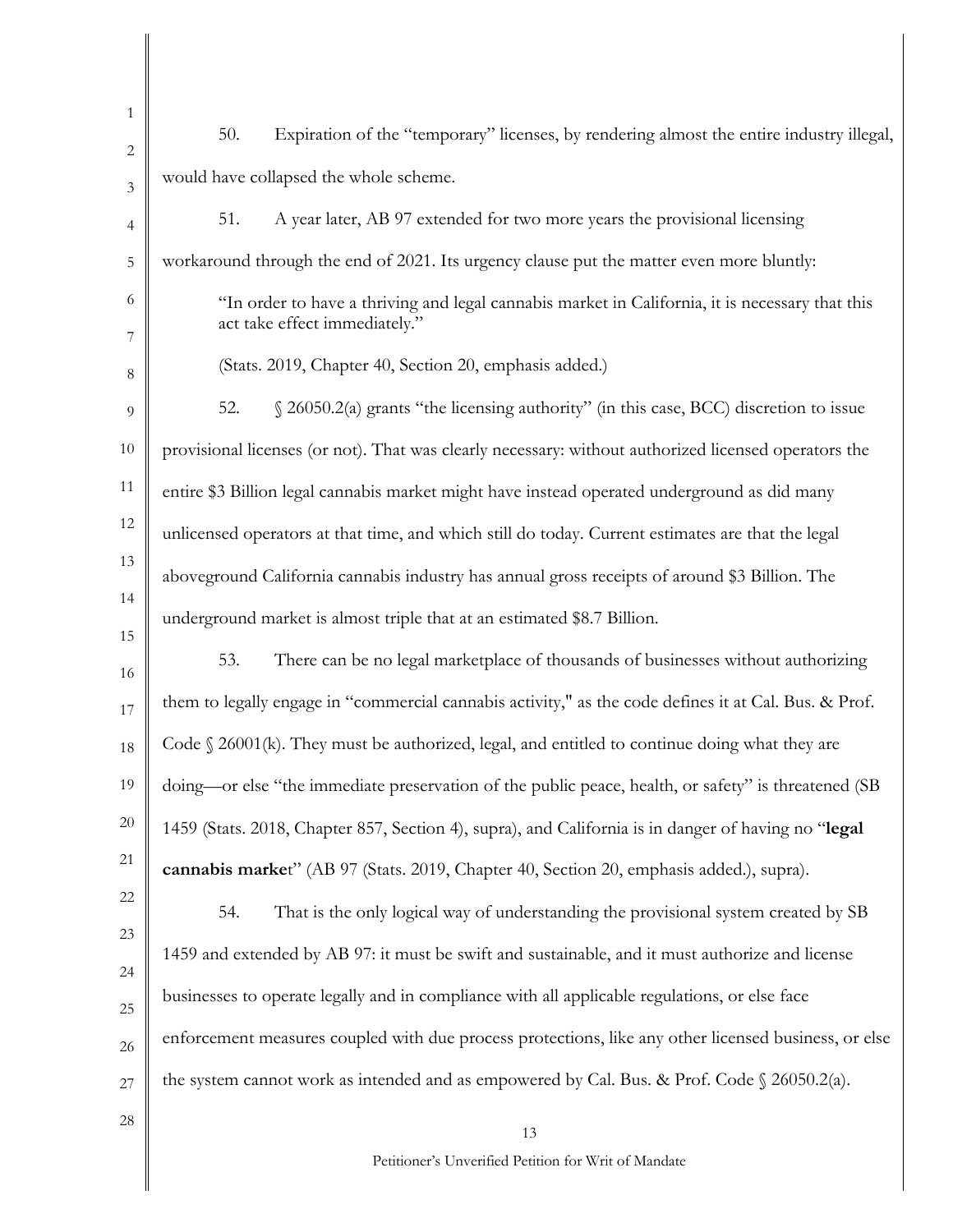| $\mathbf{1}$ |                                                                                                                                  |  |
|--------------|----------------------------------------------------------------------------------------------------------------------------------|--|
| 2            | Expiration of the "temporary" licenses, by rendering almost the entire industry illegal,<br>50.                                  |  |
| 3            | would have collapsed the whole scheme.                                                                                           |  |
| 4            | 51.<br>A year later, AB 97 extended for two more years the provisional licensing                                                 |  |
| 5            | workaround through the end of 2021. Its urgency clause put the matter even more bluntly:                                         |  |
| 6<br>7       | "In order to have a thriving and legal cannabis market in California, it is necessary that this<br>act take effect immediately." |  |
| 8            | (Stats. 2019, Chapter 40, Section 20, emphasis added.)                                                                           |  |
| 9            | 52.<br>§ 26050.2(a) grants "the licensing authority" (in this case, BCC) discretion to issue                                     |  |
| 10           | provisional licenses (or not). That was clearly necessary: without authorized licensed operators the                             |  |
| 11           | entire \$3 Billion legal cannabis market might have instead operated underground as did many                                     |  |
| 12           | unlicensed operators at that time, and which still do today. Current estimates are that the legal                                |  |
| 13           | aboveground California cannabis industry has annual gross receipts of around \$3 Billion. The                                    |  |
| 14           | underground market is almost triple that at an estimated \$8.7 Billion.                                                          |  |
| 15<br>16     | 53.<br>There can be no legal marketplace of thousands of businesses without authorizing                                          |  |
| 17           | them to legally engage in "commercial cannabis activity," as the code defines it at Cal. Bus. & Prof.                            |  |
| 18           | Code $\S$ 26001(k). They must be authorized, legal, and entitled to continue doing what they are                                 |  |
| 19           | doing—or else "the immediate preservation of the public peace, health, or safety" is threatened (SB                              |  |
| 20           | 1459 (Stats. 2018, Chapter 857, Section 4), supra), and California is in danger of having no "legal                              |  |
| 21           | cannabis market" (AB 97 (Stats. 2019, Chapter 40, Section 20, emphasis added.), supra).                                          |  |
| 22           | 54.<br>That is the only logical way of understanding the provisional system created by SB                                        |  |
| 23           | 1459 and extended by AB 97: it must be swift and sustainable, and it must authorize and license                                  |  |
| 24<br>25     | businesses to operate legally and in compliance with all applicable regulations, or else face                                    |  |
| 26           | enforcement measures coupled with due process protections, like any other licensed business, or else                             |  |
| $27\,$       | the system cannot work as intended and as empowered by Cal. Bus. & Prof. Code $\S$ 26050.2(a).                                   |  |
| 28           | 13                                                                                                                               |  |
|              | Petitioner's Unverified Petition for Writ of Mandate                                                                             |  |
|              |                                                                                                                                  |  |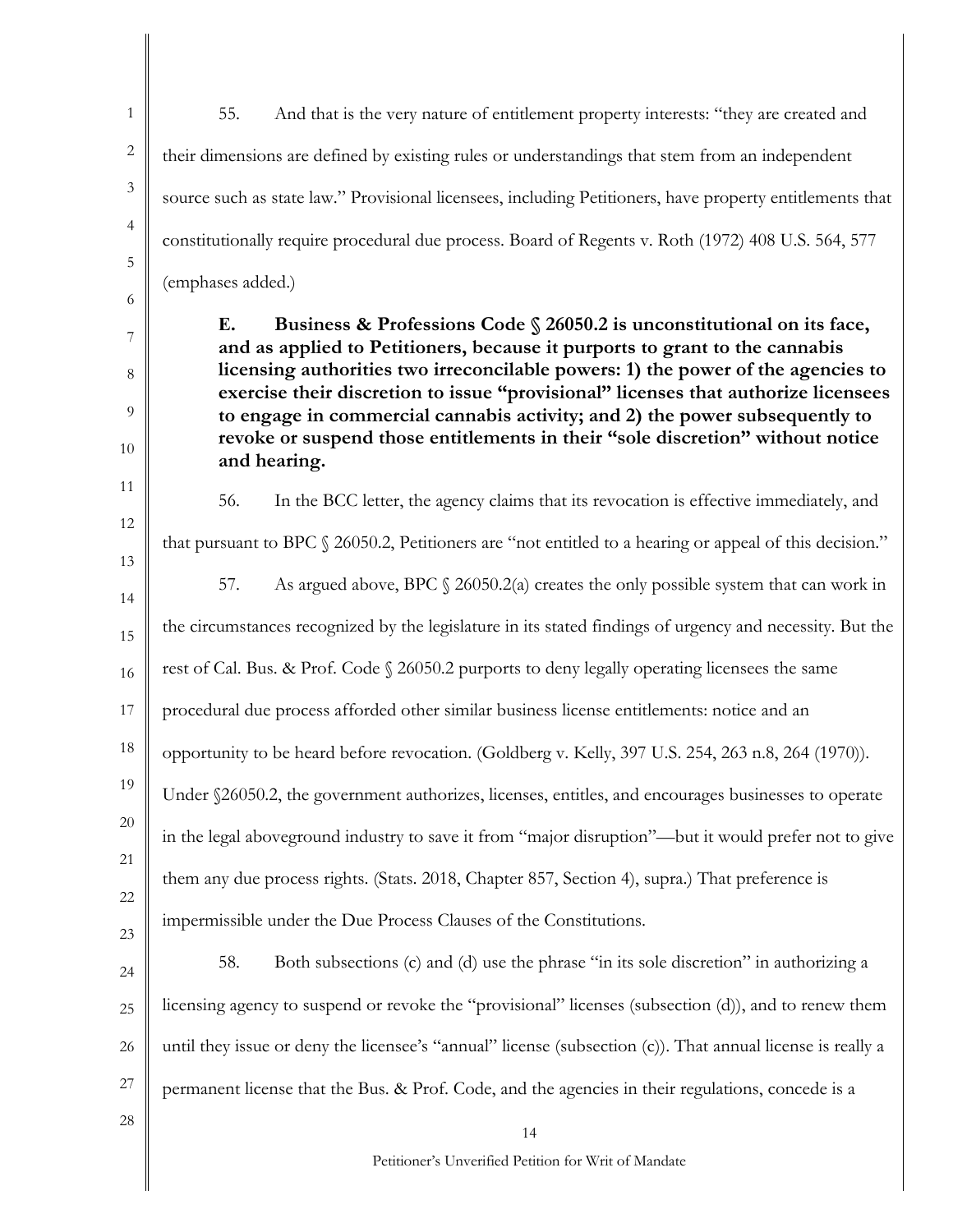| $\mathbf{1}$   | And that is the very nature of entitlement property interests: "they are created and<br>55.                                                                       |  |
|----------------|-------------------------------------------------------------------------------------------------------------------------------------------------------------------|--|
| $\overline{c}$ | their dimensions are defined by existing rules or understandings that stem from an independent                                                                    |  |
| 3              | source such as state law." Provisional licensees, including Petitioners, have property entitlements that                                                          |  |
| $\overline{4}$ | constitutionally require procedural due process. Board of Regents v. Roth (1972) 408 U.S. 564, 577                                                                |  |
| 5              | (emphases added.)                                                                                                                                                 |  |
| 6<br>7         | E.<br>Business & Professions Code § 26050.2 is unconstitutional on its face,<br>and as applied to Petitioners, because it purports to grant to the cannabis       |  |
| 8              | licensing authorities two irreconcilable powers: 1) the power of the agencies to                                                                                  |  |
| 9              | exercise their discretion to issue "provisional" licenses that authorize licensees<br>to engage in commercial cannabis activity; and 2) the power subsequently to |  |
| 10             | revoke or suspend those entitlements in their "sole discretion" without notice<br>and hearing.                                                                    |  |
| 11             | 56.<br>In the BCC letter, the agency claims that its revocation is effective immediately, and                                                                     |  |
| 12<br>13       | that pursuant to BPC § 26050.2, Petitioners are "not entitled to a hearing or appeal of this decision."                                                           |  |
| 14             | 57.<br>As argued above, BPC $\S$ 26050.2(a) creates the only possible system that can work in                                                                     |  |
| 15             | the circumstances recognized by the legislature in its stated findings of urgency and necessity. But the                                                          |  |
| 16             | rest of Cal. Bus. & Prof. Code § 26050.2 purports to deny legally operating licensees the same                                                                    |  |
| 17             | procedural due process afforded other similar business license entitlements: notice and an                                                                        |  |
| 18             | opportunity to be heard before revocation. (Goldberg v. Kelly, 397 U.S. 254, 263 n.8, 264 (1970)).                                                                |  |
| 19             | Under §26050.2, the government authorizes, licenses, entitles, and encourages businesses to operate                                                               |  |
| $20\,$         | in the legal aboveground industry to save it from "major disruption"—but it would prefer not to give                                                              |  |
| 21             | them any due process rights. (Stats. 2018, Chapter 857, Section 4), supra.) That preference is                                                                    |  |
| 22<br>23       | impermissible under the Due Process Clauses of the Constitutions.                                                                                                 |  |
| 24             | 58.<br>Both subsections (c) and (d) use the phrase "in its sole discretion" in authorizing a                                                                      |  |
| 25             | licensing agency to suspend or revoke the "provisional" licenses (subsection (d)), and to renew them                                                              |  |
| 26             | until they issue or deny the licensee's "annual" license (subsection (c)). That annual license is really a                                                        |  |
| 27             | permanent license that the Bus. & Prof. Code, and the agencies in their regulations, concede is a                                                                 |  |
| 28             | 14                                                                                                                                                                |  |
|                | Petitioner's Unverified Petition for Writ of Mandate                                                                                                              |  |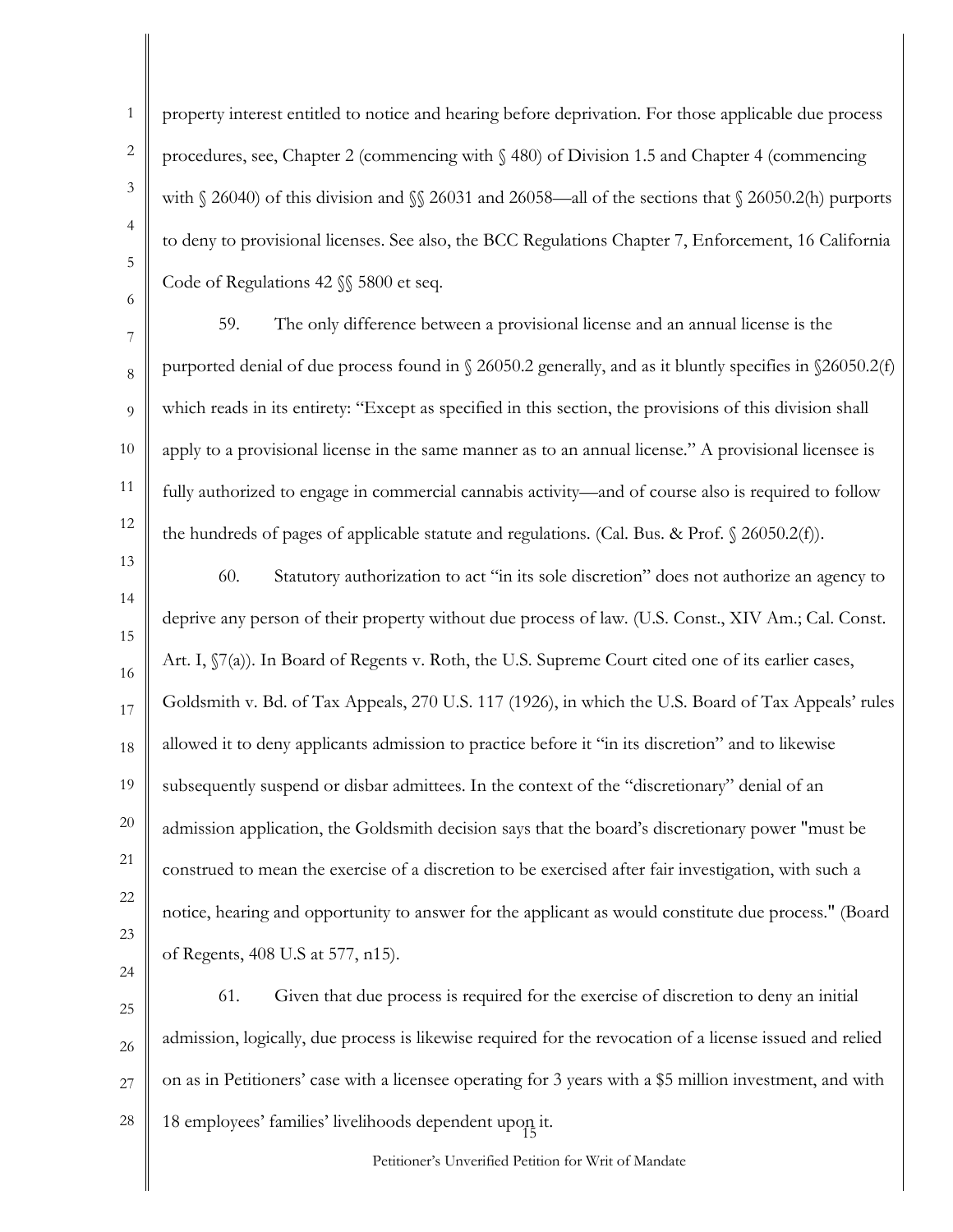property interest entitled to notice and hearing before deprivation. For those applicable due process procedures, see, Chapter 2 (commencing with § 480) of Division 1.5 and Chapter 4 (commencing with  $\S 26040$  of this division and  $\S 26031$  and 26058—all of the sections that  $\S 26050.2(h)$  purports to deny to provisional licenses. See also, the BCC Regulations Chapter 7, Enforcement, 16 California Code of Regulations 42 §§ 5800 et seq.

59. The only difference between a provisional license and an annual license is the purported denial of due process found in § 26050.2 generally, and as it bluntly specifies in §26050.2(f) which reads in its entirety: "Except as specified in this section, the provisions of this division shall apply to a provisional license in the same manner as to an annual license." A provisional licensee is fully authorized to engage in commercial cannabis activity—and of course also is required to follow the hundreds of pages of applicable statute and regulations. (Cal. Bus. & Prof. § 26050.2(f)).

60. Statutory authorization to act "in its sole discretion" does not authorize an agency to deprive any person of their property without due process of law. (U.S. Const., XIV Am.; Cal. Const. Art. I,  $\sqrt{(7a)}$ . In Board of Regents v. Roth, the U.S. Supreme Court cited one of its earlier cases, Goldsmith v. Bd. of Tax Appeals, 270 U.S. 117 (1926), in which the U.S. Board of Tax Appeals' rules allowed it to deny applicants admission to practice before it "in its discretion" and to likewise subsequently suspend or disbar admittees. In the context of the "discretionary" denial of an admission application, the Goldsmith decision says that the board's discretionary power "must be construed to mean the exercise of a discretion to be exercised after fair investigation, with such a notice, hearing and opportunity to answer for the applicant as would constitute due process." (Board of Regents, 408 U.S at 577, n15).

26 27 28 15 18 employees' families' livelihoods dependent upon it.61. Given that due process is required for the exercise of discretion to deny an initial admission, logically, due process is likewise required for the revocation of a license issued and relied on as in Petitioners' case with a licensee operating for 3 years with a \$5 million investment, and with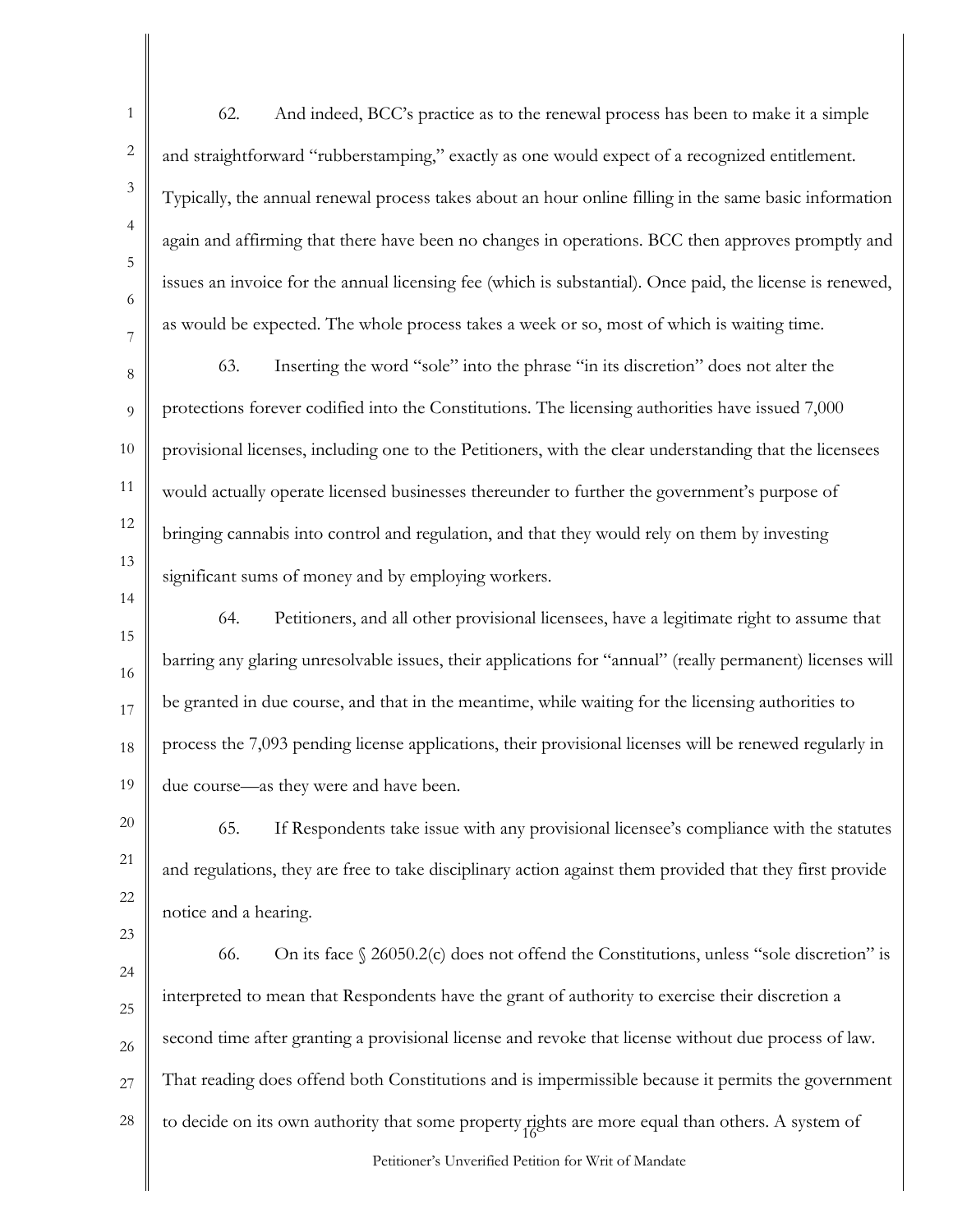1 2 3 4 5 6 7 8 9 10 11 12 13 14 15 16 17 18 19 20 21 22 23 24 25 26 27 62. And indeed, BCC's practice as to the renewal process has been to make it a simple and straightforward "rubberstamping," exactly as one would expect of a recognized entitlement. Typically, the annual renewal process takes about an hour online filling in the same basic information again and affirming that there have been no changes in operations. BCC then approves promptly and issues an invoice for the annual licensing fee (which is substantial). Once paid, the license is renewed, as would be expected. The whole process takes a week or so, most of which is waiting time. 63. Inserting the word "sole" into the phrase "in its discretion" does not alter the protections forever codified into the Constitutions. The licensing authorities have issued 7,000 provisional licenses, including one to the Petitioners, with the clear understanding that the licensees would actually operate licensed businesses thereunder to further the government's purpose of bringing cannabis into control and regulation, and that they would rely on them by investing significant sums of money and by employing workers. 64. Petitioners, and all other provisional licensees, have a legitimate right to assume that barring any glaring unresolvable issues, their applications for "annual" (really permanent) licenses will be granted in due course, and that in the meantime, while waiting for the licensing authorities to process the 7,093 pending license applications, their provisional licenses will be renewed regularly in due course—as they were and have been. 65. If Respondents take issue with any provisional licensee's compliance with the statutes and regulations, they are free to take disciplinary action against them provided that they first provide notice and a hearing. 66. On its face § 26050.2(c) does not offend the Constitutions, unless "sole discretion" is interpreted to mean that Respondents have the grant of authority to exercise their discretion a second time after granting a provisional license and revoke that license without due process of law. That reading does offend both Constitutions and is impermissible because it permits the government

28 to decide on its own authority that some property rights are more equal than others. A system of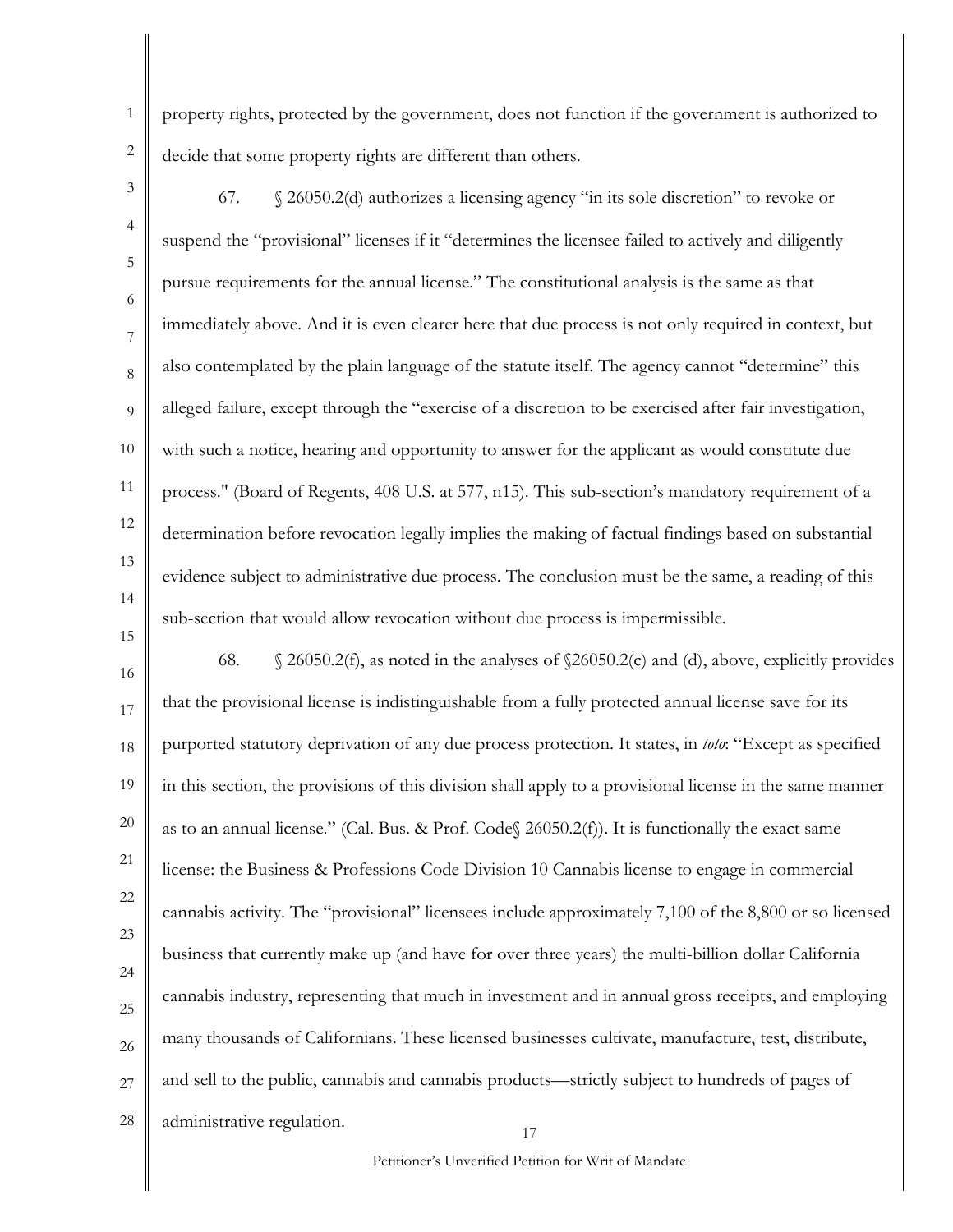property rights, protected by the government, does not function if the government is authorized to decide that some property rights are different than others.

3

4

5

6

7

8

9

11

15

1

2

10 12 13 14 67. § 26050.2(d) authorizes a licensing agency "in its sole discretion" to revoke or suspend the "provisional" licenses if it "determines the licensee failed to actively and diligently pursue requirements for the annual license." The constitutional analysis is the same as that immediately above. And it is even clearer here that due process is not only required in context, but also contemplated by the plain language of the statute itself. The agency cannot "determine" this alleged failure, except through the "exercise of a discretion to be exercised after fair investigation, with such a notice, hearing and opportunity to answer for the applicant as would constitute due process." (Board of Regents, 408 U.S. at 577, n15). This sub-section's mandatory requirement of a determination before revocation legally implies the making of factual findings based on substantial evidence subject to administrative due process. The conclusion must be the same, a reading of this sub-section that would allow revocation without due process is impermissible.

16 17 18 19 20 21 22 23 24 25 26 27 28 68.  $\Diamond$  26050.2(f), as noted in the analyses of  $\Diamond$ 26050.2(c) and (d), above, explicitly provides that the provisional license is indistinguishable from a fully protected annual license save for its purported statutory deprivation of any due process protection. It states, in *toto*: "Except as specified in this section, the provisions of this division shall apply to a provisional license in the same manner as to an annual license." (Cal. Bus. & Prof. Code  $\geq 26050.2(f)$ ). It is functionally the exact same license: the Business & Professions Code Division 10 Cannabis license to engage in commercial cannabis activity. The "provisional" licensees include approximately 7,100 of the 8,800 or so licensed business that currently make up (and have for over three years) the multi-billion dollar California cannabis industry, representing that much in investment and in annual gross receipts, and employing many thousands of Californians. These licensed businesses cultivate, manufacture, test, distribute, and sell to the public, cannabis and cannabis products—strictly subject to hundreds of pages of administrative regulation.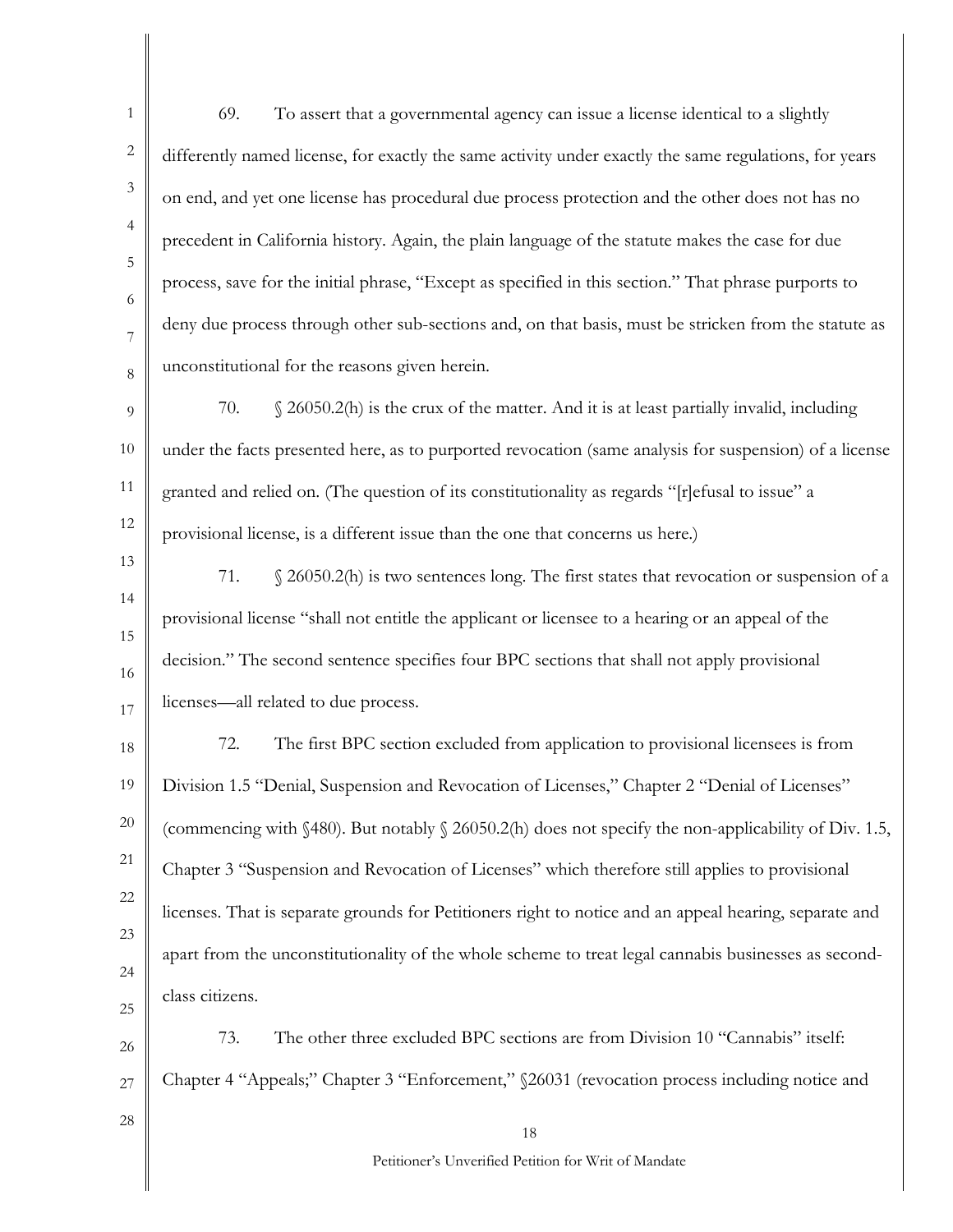| 1                | To assert that a governmental agency can issue a license identical to a slightly<br>69.                |
|------------------|--------------------------------------------------------------------------------------------------------|
| 2                | differently named license, for exactly the same activity under exactly the same regulations, for years |
| 3                | on end, and yet one license has procedural due process protection and the other does not has no        |
| $\overline{4}$   | precedent in California history. Again, the plain language of the statute makes the case for due       |
| 5<br>6           | process, save for the initial phrase, "Except as specified in this section." That phrase purports to   |
| $\boldsymbol{7}$ | deny due process through other sub-sections and, on that basis, must be stricken from the statute as   |
| $\,8\,$          | unconstitutional for the reasons given herein.                                                         |
| 9                | § 26050.2(h) is the crux of the matter. And it is at least partially invalid, including<br>70.         |
| 10               | under the facts presented here, as to purported revocation (same analysis for suspension) of a license |
| 11               | granted and relied on. (The question of its constitutionality as regards "[r]efusal to issue" a        |
| 12               | provisional license, is a different issue than the one that concerns us here.)                         |
| 13               | § 26050.2(h) is two sentences long. The first states that revocation or suspension of a<br>71.         |
| 14               | provisional license "shall not entitle the applicant or licensee to a hearing or an appeal of the      |
| 15<br>16         | decision." The second sentence specifies four BPC sections that shall not apply provisional            |
| $17\,$           | licenses—all related to due process.                                                                   |
| 18               | The first BPC section excluded from application to provisional licensees is from<br>72.                |
| 19               | Division 1.5 "Denial, Suspension and Revocation of Licenses," Chapter 2 "Denial of Licenses"           |
| 20               | (commencing with §480). But notably § 26050.2(h) does not specify the non-applicability of Div. 1.5,   |
| 21               | Chapter 3 "Suspension and Revocation of Licenses" which therefore still applies to provisional         |
| 22               | licenses. That is separate grounds for Petitioners right to notice and an appeal hearing, separate and |
| 23<br>24         | apart from the unconstitutionality of the whole scheme to treat legal cannabis businesses as second-   |
| 25               | class citizens.                                                                                        |
| 26               | The other three excluded BPC sections are from Division 10 "Cannabis" itself:<br>73.                   |
| 27               | Chapter 4 "Appeals;" Chapter 3 "Enforcement," §26031 (revocation process including notice and          |
| 28               | 18                                                                                                     |
|                  | Petitioner's Unverified Petition for Writ of Mandate                                                   |
|                  |                                                                                                        |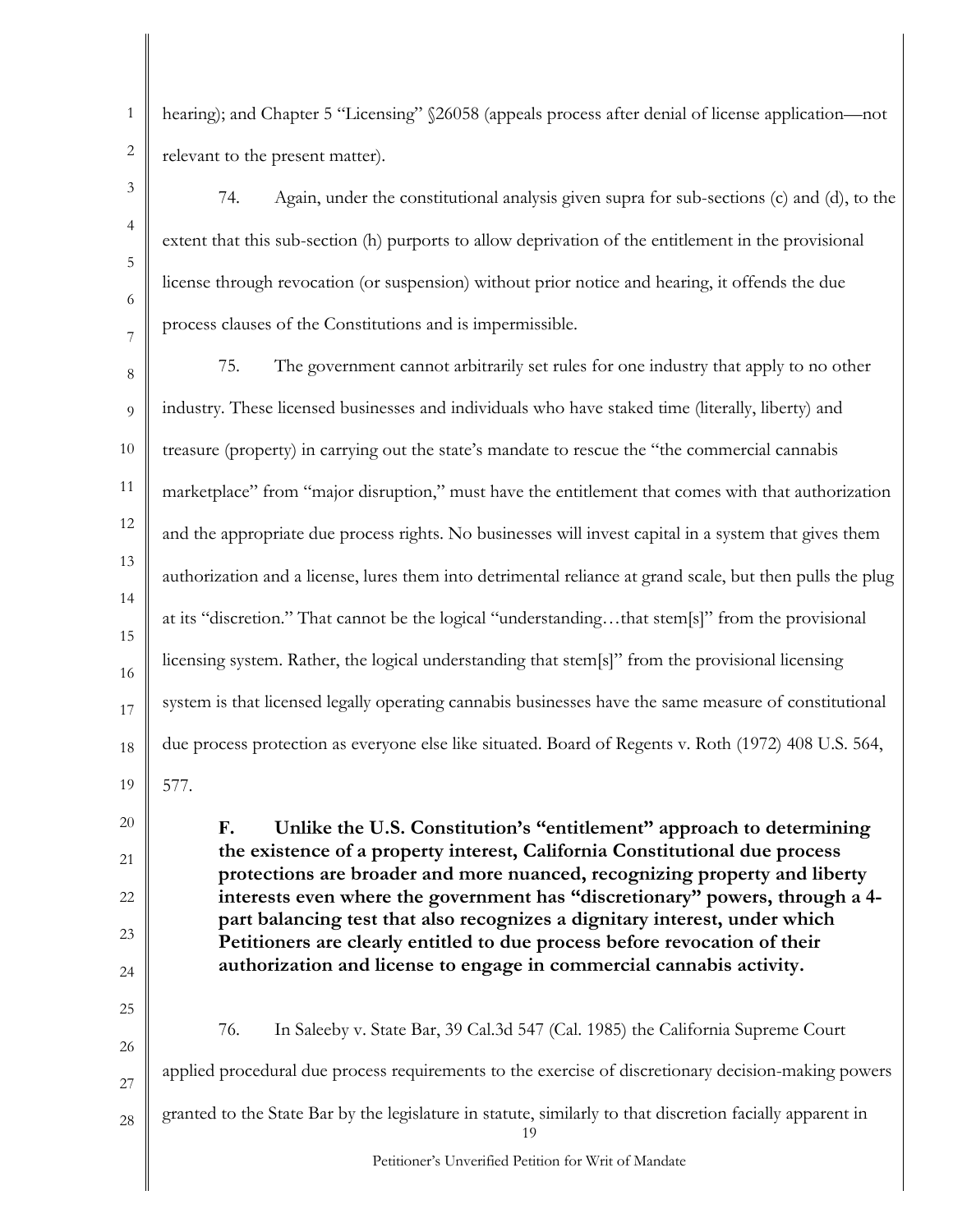hearing); and Chapter 5 "Licensing" §26058 (appeals process after denial of license application—not relevant to the present matter).

1

2

3

4

5

6

7

20

21

22

23

24

74. Again, under the constitutional analysis given supra for sub-sections (c) and (d), to the extent that this sub-section (h) purports to allow deprivation of the entitlement in the provisional license through revocation (or suspension) without prior notice and hearing, it offends the due process clauses of the Constitutions and is impermissible.

8 9 10 11 12 13 14 15 16 17 18 19 75. The government cannot arbitrarily set rules for one industry that apply to no other industry. These licensed businesses and individuals who have staked time (literally, liberty) and treasure (property) in carrying out the state's mandate to rescue the "the commercial cannabis marketplace" from "major disruption," must have the entitlement that comes with that authorization and the appropriate due process rights. No businesses will invest capital in a system that gives them authorization and a license, lures them into detrimental reliance at grand scale, but then pulls the plug at its "discretion." That cannot be the logical "understanding…that stem[s]" from the provisional licensing system. Rather, the logical understanding that stem[s]" from the provisional licensing system is that licensed legally operating cannabis businesses have the same measure of constitutional due process protection as everyone else like situated. Board of Regents v. Roth (1972) 408 U.S. 564, 577.

> **F. Unlike the U.S. Constitution's "entitlement" approach to determining the existence of a property interest, California Constitutional due process protections are broader and more nuanced, recognizing property and liberty interests even where the government has "discretionary" powers, through a 4 part balancing test that also recognizes a dignitary interest, under which Petitioners are clearly entitled to due process before revocation of their authorization and license to engage in commercial cannabis activity.**

25 26 27 28 19 76. In Saleeby v. State Bar, 39 Cal.3d 547 (Cal. 1985) the California Supreme Court applied procedural due process requirements to the exercise of discretionary decision-making powers granted to the State Bar by the legislature in statute, similarly to that discretion facially apparent in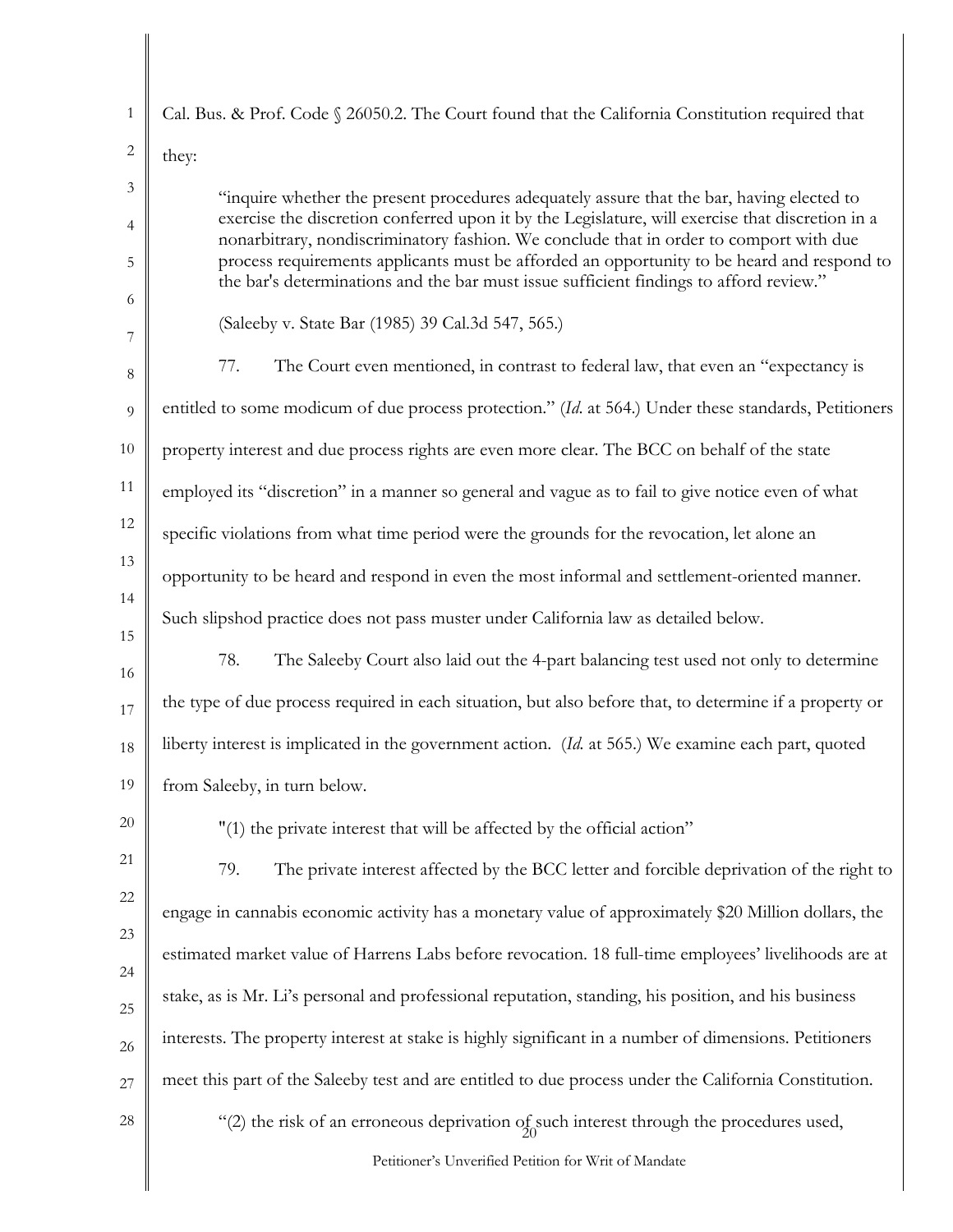| $\mathbf{1}$ | Cal. Bus. & Prof. Code § 26050.2. The Court found that the California Constitution required that                                                                                           |
|--------------|--------------------------------------------------------------------------------------------------------------------------------------------------------------------------------------------|
| 2            | they:                                                                                                                                                                                      |
| 3            | "inquire whether the present procedures adequately assure that the bar, having elected to                                                                                                  |
| 4            | exercise the discretion conferred upon it by the Legislature, will exercise that discretion in a<br>nonarbitrary, nondiscriminatory fashion. We conclude that in order to comport with due |
| 5            | process requirements applicants must be afforded an opportunity to be heard and respond to<br>the bar's determinations and the bar must issue sufficient findings to afford review."       |
| 6<br>7       | (Saleeby v. State Bar (1985) 39 Cal.3d 547, 565.)                                                                                                                                          |
| 8            | The Court even mentioned, in contrast to federal law, that even an "expectancy is<br>77.                                                                                                   |
| 9            | entitled to some modicum of due process protection." (Id. at 564.) Under these standards, Petitioners                                                                                      |
| 10           | property interest and due process rights are even more clear. The BCC on behalf of the state                                                                                               |
| 11           | employed its "discretion" in a manner so general and vague as to fail to give notice even of what                                                                                          |
| 12           | specific violations from what time period were the grounds for the revocation, let alone an                                                                                                |
| 13           | opportunity to be heard and respond in even the most informal and settlement-oriented manner.                                                                                              |
| 14<br>15     | Such slipshod practice does not pass muster under California law as detailed below.                                                                                                        |
| 16           | 78.<br>The Saleeby Court also laid out the 4-part balancing test used not only to determine                                                                                                |
| 17           | the type of due process required in each situation, but also before that, to determine if a property or                                                                                    |
| 18           | liberty interest is implicated in the government action. (Id. at 565.) We examine each part, quoted                                                                                        |
| 19           | from Saleeby, in turn below.                                                                                                                                                               |
| $20\,$       | "(1) the private interest that will be affected by the official action"                                                                                                                    |
| 21           | The private interest affected by the BCC letter and forcible deprivation of the right to<br>79.                                                                                            |
| 22           | engage in cannabis economic activity has a monetary value of approximately \$20 Million dollars, the                                                                                       |
| 23           | estimated market value of Harrens Labs before revocation. 18 full-time employees' livelihoods are at                                                                                       |
| 24<br>25     | stake, as is Mr. Li's personal and professional reputation, standing, his position, and his business                                                                                       |
| 26           | interests. The property interest at stake is highly significant in a number of dimensions. Petitioners                                                                                     |
| 27           | meet this part of the Saleeby test and are entitled to due process under the California Constitution.                                                                                      |
| 28           | "(2) the risk of an erroneous deprivation of such interest through the procedures used,                                                                                                    |
|              | Petitioner's Unverified Petition for Writ of Mandate                                                                                                                                       |
|              |                                                                                                                                                                                            |

 $\begin{array}{c} \hline \end{array}$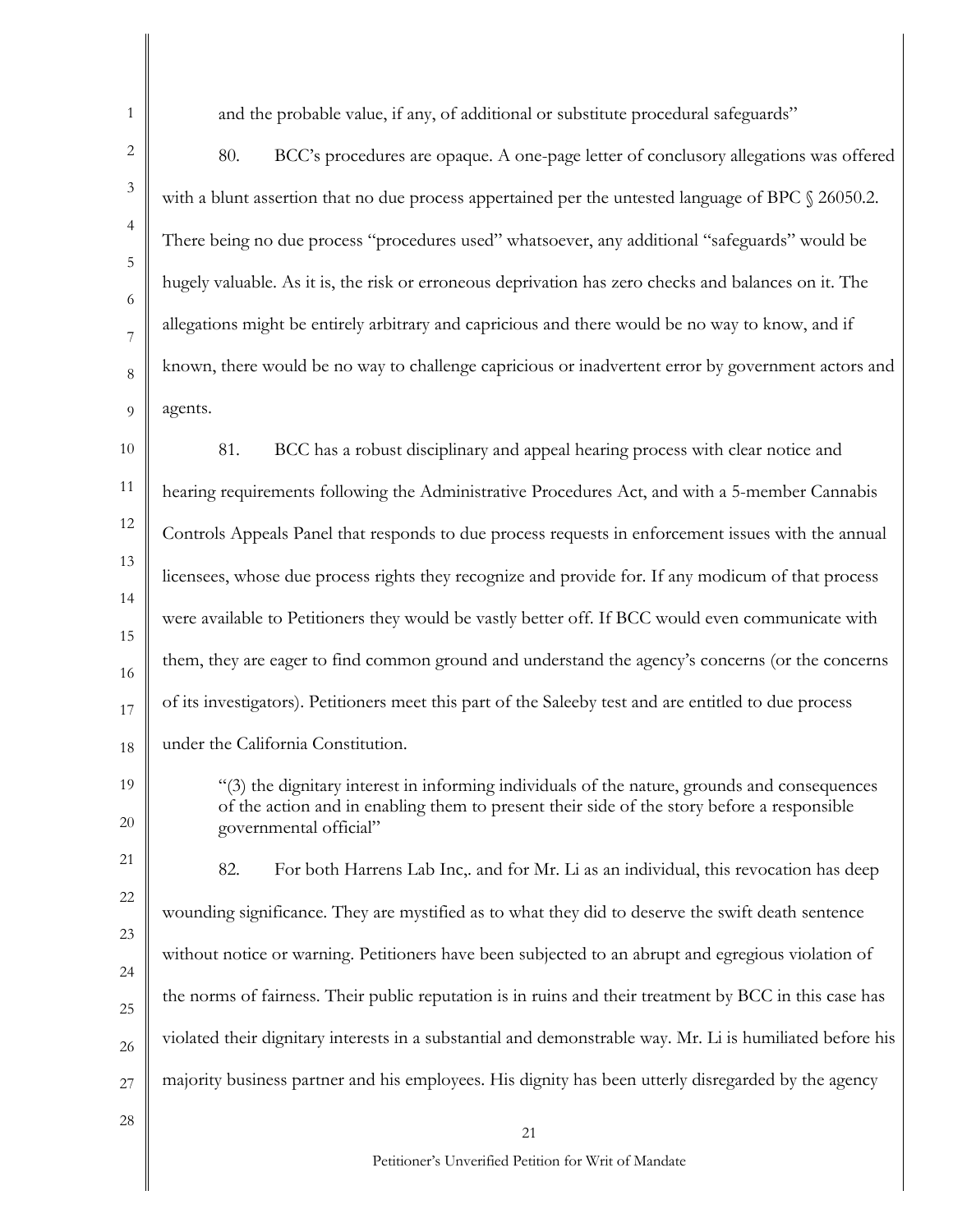| $\mathbf{1}$ | and the probable value, if any, of additional or substitute procedural safeguards"                                   |
|--------------|----------------------------------------------------------------------------------------------------------------------|
| 2            | BCC's procedures are opaque. A one-page letter of conclusory allegations was offered<br>80.                          |
| 3            | with a blunt assertion that no due process appertained per the untested language of BPC § 26050.2.                   |
| 4            | There being no due process "procedures used" whatsoever, any additional "safeguards" would be                        |
| 5            | hugely valuable. As it is, the risk or erroneous deprivation has zero checks and balances on it. The                 |
| 6<br>7       | allegations might be entirely arbitrary and capricious and there would be no way to know, and if                     |
| 8            | known, there would be no way to challenge capricious or inadvertent error by government actors and                   |
| 9            | agents.                                                                                                              |
| 10           | BCC has a robust disciplinary and appeal hearing process with clear notice and<br>81.                                |
| 11           | hearing requirements following the Administrative Procedures Act, and with a 5-member Cannabis                       |
| 12           | Controls Appeals Panel that responds to due process requests in enforcement issues with the annual                   |
| 13           | licensees, whose due process rights they recognize and provide for. If any modicum of that process                   |
| 14           | were available to Petitioners they would be vastly better off. If BCC would even communicate with                    |
| 15           | them, they are eager to find common ground and understand the agency's concerns (or the concerns                     |
| 16<br>17     | of its investigators). Petitioners meet this part of the Saleeby test and are entitled to due process                |
| 18           | under the California Constitution.                                                                                   |
| 19           | "(3) the dignitary interest in informing individuals of the nature, grounds and consequences                         |
| 20           | of the action and in enabling them to present their side of the story before a responsible<br>governmental official" |
| 21           | For both Harrens Lab Inc, and for Mr. Li as an individual, this revocation has deep<br>82.                           |
| 22           | wounding significance. They are mystified as to what they did to deserve the swift death sentence                    |
| 23           | without notice or warning. Petitioners have been subjected to an abrupt and egregious violation of                   |
| 24           | the norms of fairness. Their public reputation is in ruins and their treatment by BCC in this case has               |
| 25           | violated their dignitary interests in a substantial and demonstrable way. Mr. Li is humiliated before his            |
| 26<br>27     | majority business partner and his employees. His dignity has been utterly disregarded by the agency                  |
| 28           |                                                                                                                      |
|              | 21<br>Detitioner's Haverified Detition for Weit of Mandate                                                           |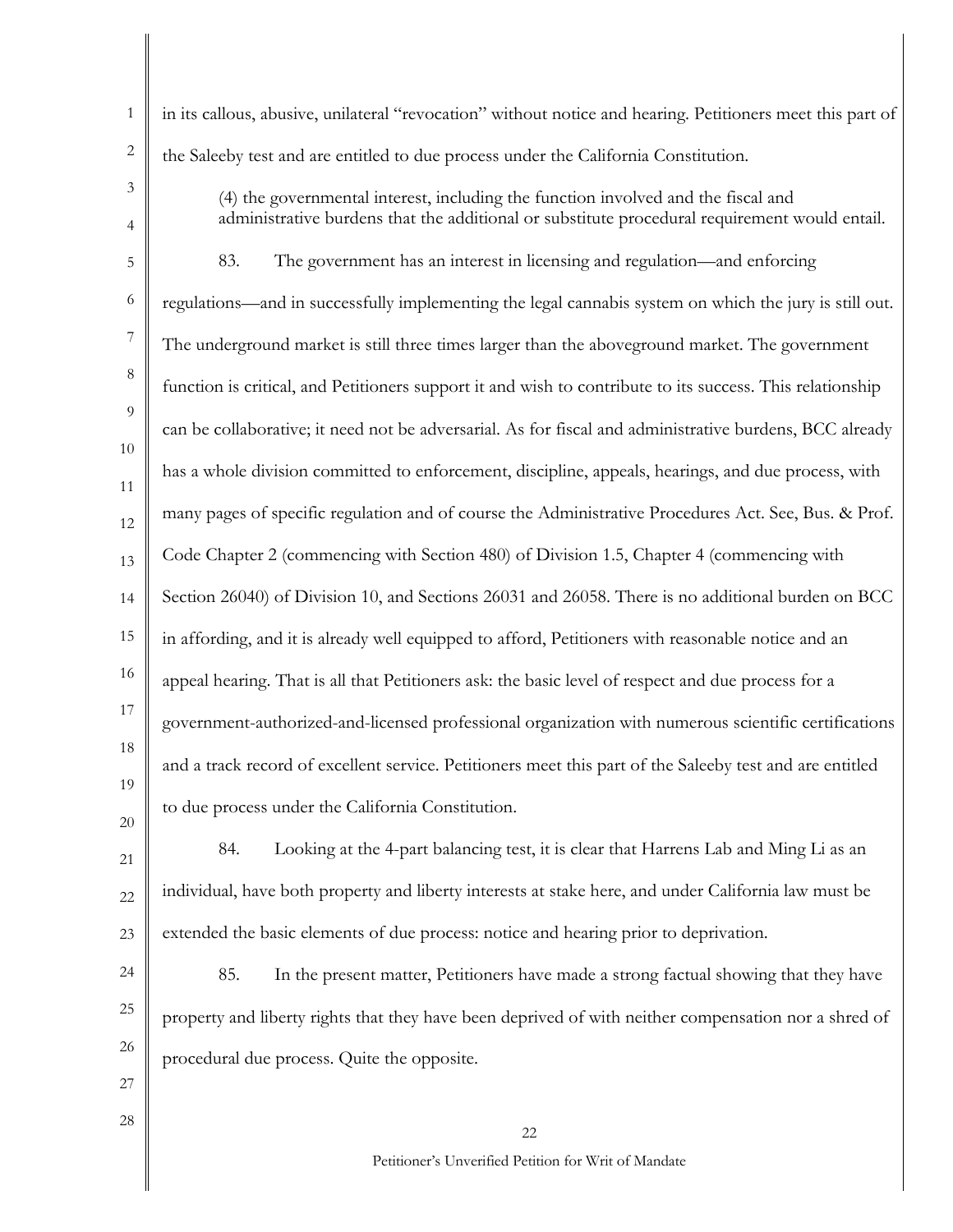1 2 3 4 5 6 7 8 9 10 11 12 13 14 15 16 17 18 19 20 21 22 23 24 25 26 27 28 Petitioner's Unverified Petition for Writ of Mandate 22 in its callous, abusive, unilateral "revocation" without notice and hearing. Petitioners meet this part of the Saleeby test and are entitled to due process under the California Constitution. (4) the governmental interest, including the function involved and the fiscal and administrative burdens that the additional or substitute procedural requirement would entail. 83. The government has an interest in licensing and regulation—and enforcing regulations—and in successfully implementing the legal cannabis system on which the jury is still out. The underground market is still three times larger than the aboveground market. The government function is critical, and Petitioners support it and wish to contribute to its success. This relationship can be collaborative; it need not be adversarial. As for fiscal and administrative burdens, BCC already has a whole division committed to enforcement, discipline, appeals, hearings, and due process, with many pages of specific regulation and of course the Administrative Procedures Act. See, Bus. & Prof. Code Chapter 2 (commencing with Section 480) of Division 1.5, Chapter 4 (commencing with Section 26040) of Division 10, and Sections 26031 and 26058. There is no additional burden on BCC in affording, and it is already well equipped to afford, Petitioners with reasonable notice and an appeal hearing. That is all that Petitioners ask: the basic level of respect and due process for a government-authorized-and-licensed professional organization with numerous scientific certifications and a track record of excellent service. Petitioners meet this part of the Saleeby test and are entitled to due process under the California Constitution. 84. Looking at the 4-part balancing test, it is clear that Harrens Lab and Ming Li as an individual, have both property and liberty interests at stake here, and under California law must be extended the basic elements of due process: notice and hearing prior to deprivation. 85. In the present matter, Petitioners have made a strong factual showing that they have property and liberty rights that they have been deprived of with neither compensation nor a shred of procedural due process. Quite the opposite.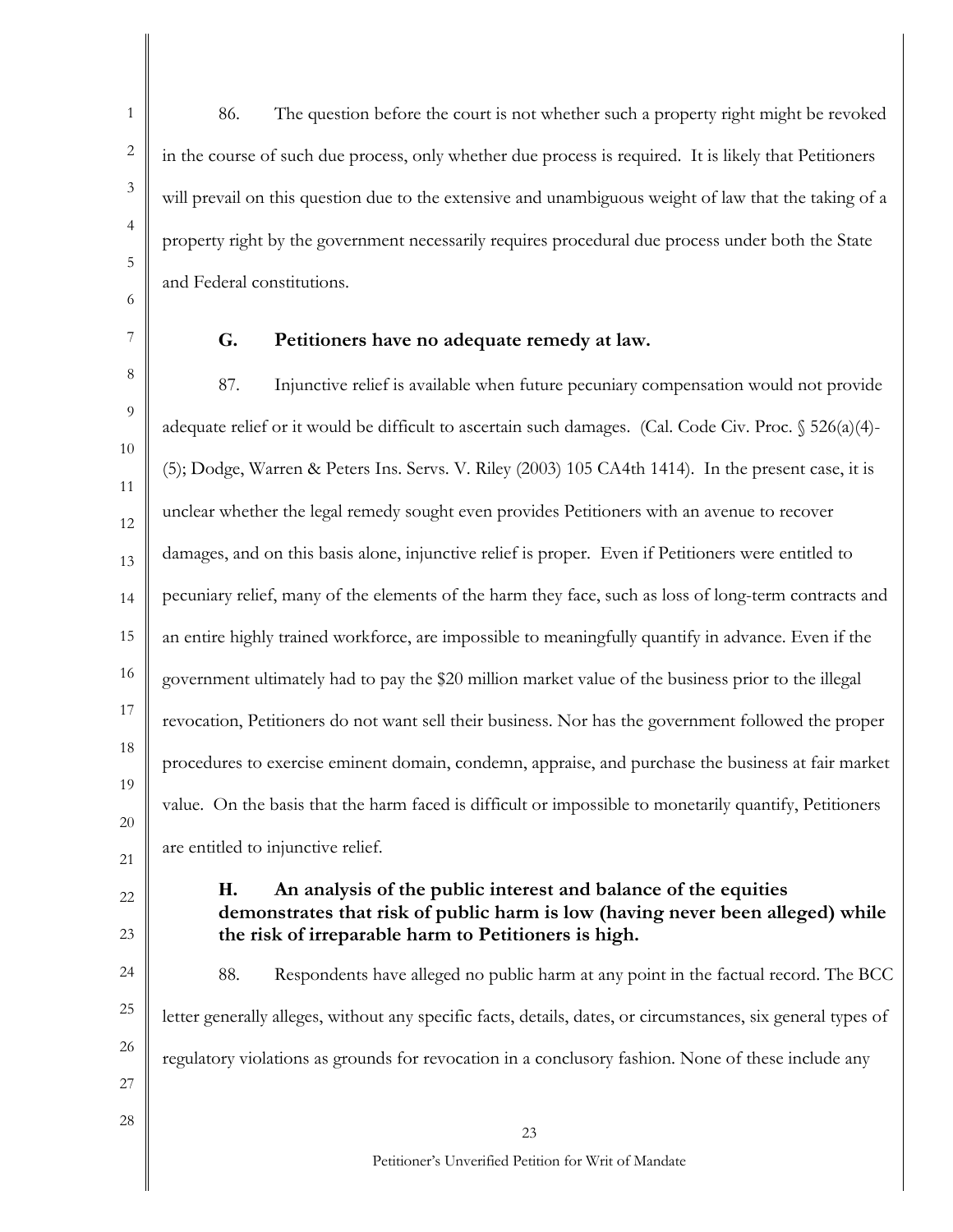86. The question before the court is not whether such a property right might be revoked in the course of such due process, only whether due process is required. It is likely that Petitioners will prevail on this question due to the extensive and unambiguous weight of law that the taking of a property right by the government necessarily requires procedural due process under both the State and Federal constitutions.

### **G. Petitioners have no adequate remedy at law.**

87. Injunctive relief is available when future pecuniary compensation would not provide adequate relief or it would be difficult to ascertain such damages. (Cal. Code Civ. Proc. § 526(a)(4)- (5); Dodge, Warren & Peters Ins. Servs. V. Riley (2003) 105 CA4th 1414). In the present case, it is unclear whether the legal remedy sought even provides Petitioners with an avenue to recover damages, and on this basis alone, injunctive relief is proper. Even if Petitioners were entitled to pecuniary relief, many of the elements of the harm they face, such as loss of long-term contracts and an entire highly trained workforce, are impossible to meaningfully quantify in advance. Even if the government ultimately had to pay the \$20 million market value of the business prior to the illegal revocation, Petitioners do not want sell their business. Nor has the government followed the proper procedures to exercise eminent domain, condemn, appraise, and purchase the business at fair market value. On the basis that the harm faced is difficult or impossible to monetarily quantify, Petitioners are entitled to injunctive relief.

## 22

23

### **H. An analysis of the public interest and balance of the equities demonstrates that risk of public harm is low (having never been alleged) while the risk of irreparable harm to Petitioners is high.**

88. Respondents have alleged no public harm at any point in the factual record. The BCC letter generally alleges, without any specific facts, details, dates, or circumstances, six general types of regulatory violations as grounds for revocation in a conclusory fashion. None of these include any

27 28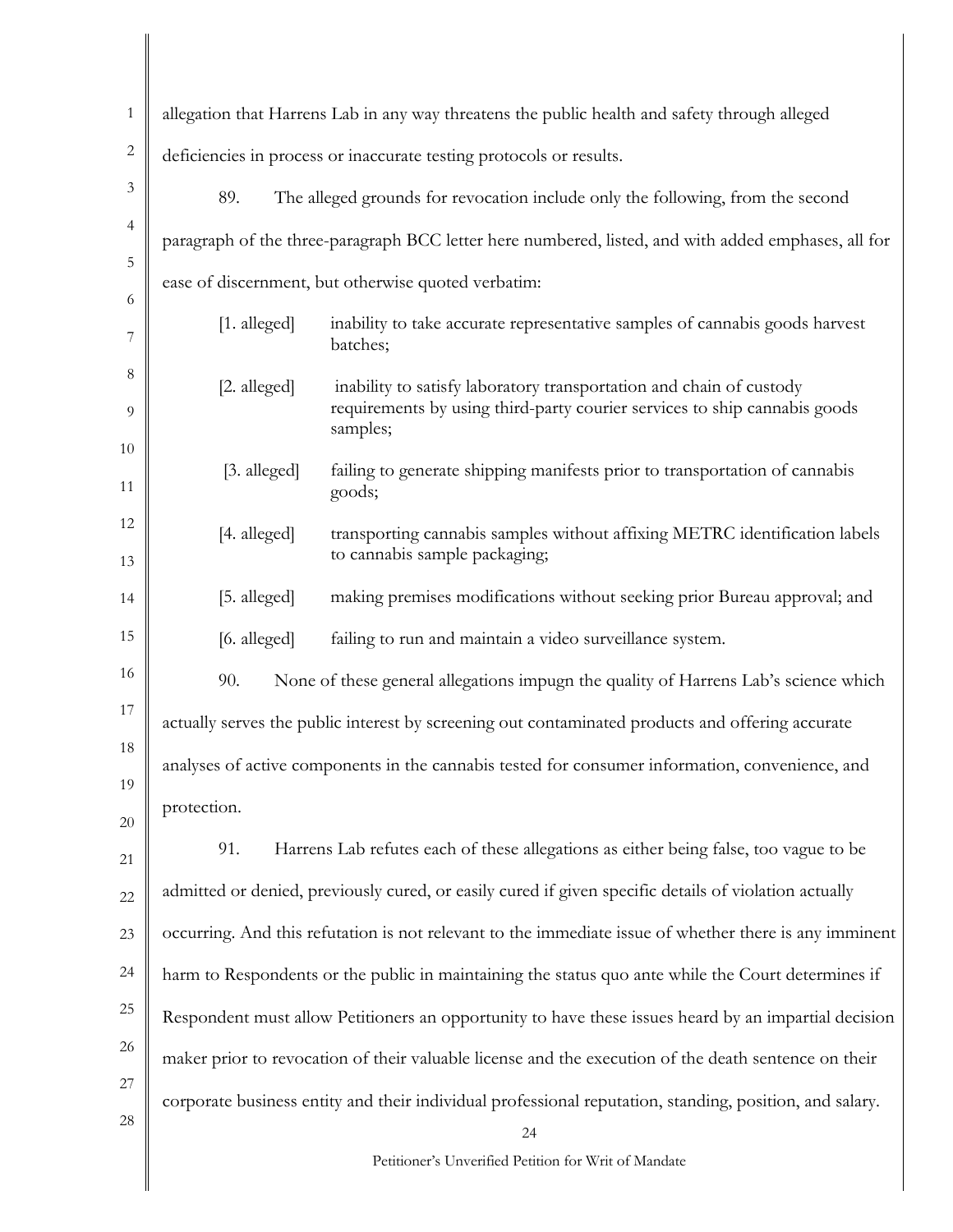| 1        | allegation that Harrens Lab in any way threatens the public health and safety through alleged                                                                                |  |
|----------|------------------------------------------------------------------------------------------------------------------------------------------------------------------------------|--|
| 2        | deficiencies in process or inaccurate testing protocols or results.                                                                                                          |  |
| 3        | 89.<br>The alleged grounds for revocation include only the following, from the second                                                                                        |  |
| 4        | paragraph of the three-paragraph BCC letter here numbered, listed, and with added emphases, all for                                                                          |  |
| 5        | ease of discernment, but otherwise quoted verbatim:                                                                                                                          |  |
| 6<br>7   | [1. alleged]<br>inability to take accurate representative samples of cannabis goods harvest<br>batches;                                                                      |  |
| 8<br>9   | [2. alleged]<br>inability to satisfy laboratory transportation and chain of custody<br>requirements by using third-party courier services to ship cannabis goods<br>samples; |  |
| 10<br>11 | failing to generate shipping manifests prior to transportation of cannabis<br>[3. alleged]<br>goods;                                                                         |  |
| 12<br>13 | [4. alleged]<br>transporting cannabis samples without affixing METRC identification labels<br>to cannabis sample packaging;                                                  |  |
| 14       | [5. alleged]<br>making premises modifications without seeking prior Bureau approval; and                                                                                     |  |
| 15       | [6. alleged]<br>failing to run and maintain a video surveillance system.                                                                                                     |  |
| 16       | 90.<br>None of these general allegations impugn the quality of Harrens Lab's science which                                                                                   |  |
| 17       | actually serves the public interest by screening out contaminated products and offering accurate                                                                             |  |
| 18<br>19 | analyses of active components in the cannabis tested for consumer information, convenience, and                                                                              |  |
| 20       | protection.                                                                                                                                                                  |  |
| 21       | Harrens Lab refutes each of these allegations as either being false, too vague to be<br>91.                                                                                  |  |
| 22       | admitted or denied, previously cured, or easily cured if given specific details of violation actually                                                                        |  |
| 23       | occurring. And this refutation is not relevant to the immediate issue of whether there is any imminent                                                                       |  |
| 24       | harm to Respondents or the public in maintaining the status quo ante while the Court determines if                                                                           |  |
| 25       | Respondent must allow Petitioners an opportunity to have these issues heard by an impartial decision                                                                         |  |
| 26<br>27 | maker prior to revocation of their valuable license and the execution of the death sentence on their                                                                         |  |
| 28       | corporate business entity and their individual professional reputation, standing, position, and salary.                                                                      |  |
|          | 24<br>Petitioner's Unverified Petition for Writ of Mandate                                                                                                                   |  |
|          |                                                                                                                                                                              |  |